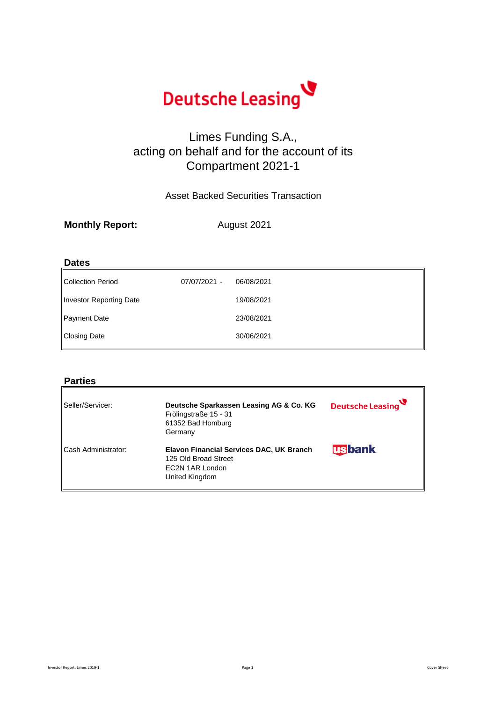**Monthly Report:**

| <b>Dates</b>            |              |            |  |
|-------------------------|--------------|------------|--|
| Collection Period       | 07/07/2021 - | 06/08/2021 |  |
| Investor Reporting Date |              | 19/08/2021 |  |
| Payment Date            |              | 23/08/2021 |  |
| Closing Date            |              | 30/06/2021 |  |

# **Parties**

| Seller/Servicer:           | Deutsche Sparkassen Leasing AG & Co. KG<br>Frölingstraße 15 - 31<br>61352 Bad Homburg<br>Germany             | Deutsche Leasing |
|----------------------------|--------------------------------------------------------------------------------------------------------------|------------------|
| <b>Cash Administrator:</b> | <b>Elavon Financial Services DAC, UK Branch</b><br>125 Old Broad Street<br>EC2N 1AR London<br>United Kingdom | <b>usbank</b>    |

Investor Report: Limes 2019-1 Cover Sheet Cover Sheet Cover Sheet Cover Sheet Cover Sheet



# Limes Funding S.A., acting on behalf and for the account of its Compartment 2021-1

Asset Backed Securities Transaction

August 2021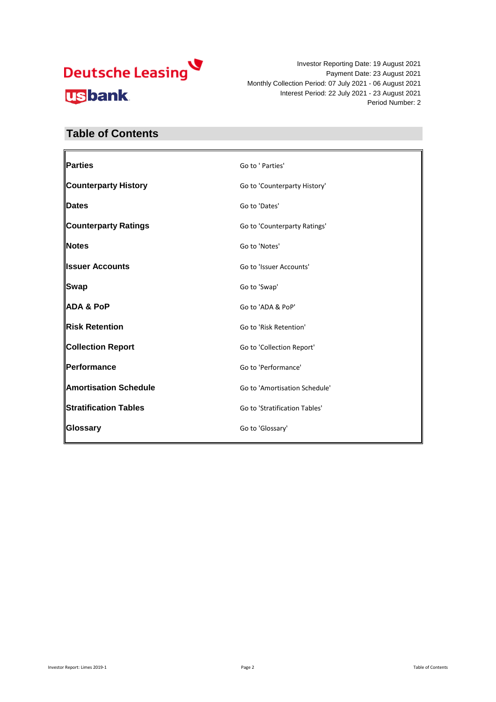

#### **Table of Contents**

| <b>Parties</b>              | Go to ' Parties'              |
|-----------------------------|-------------------------------|
| <b>Counterparty History</b> | Go to 'Counterparty History'  |
| <b>IDates</b>               | Go to 'Dates'                 |
| <b>Counterparty Ratings</b> | Go to 'Counterparty Ratings'  |
| <b>Notes</b>                | Go to 'Notes'                 |
| <b>Ilssuer Accounts</b>     | Go to 'Issuer Accounts'       |
| <b>Swap</b>                 | Go to 'Swap'                  |
| <b>ADA &amp; PoP</b>        | Go to 'ADA & PoP'             |
| Risk Retention              | Go to 'Risk Retention'        |
| <b>Collection Report</b>    | Go to 'Collection Report'     |
| <b>  Performance</b>        | Go to 'Performance'           |
| Amortisation Schedule       | Go to 'Amortisation Schedule' |
| Stratification Tables       | Go to 'Stratification Tables' |
| ∥Glossary                   | Go to 'Glossary'              |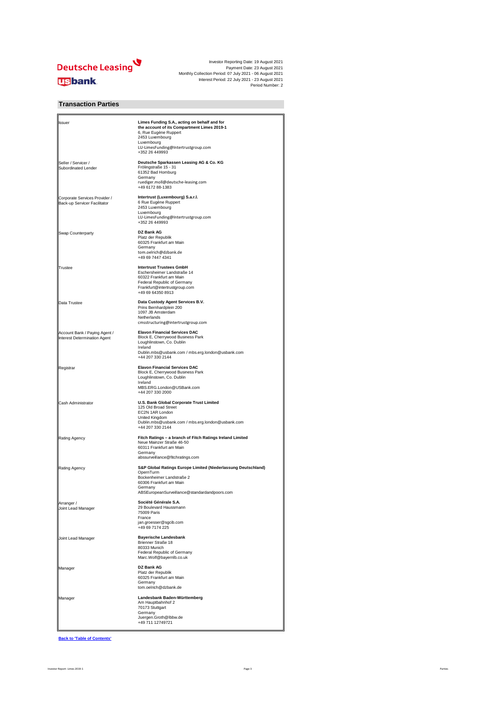

| <b>I</b> ssuer                                                | Limes Funding S.A., acting on behalf and for<br>the account of its Compartment Limes 2019-1<br>6, Rue Eugène Ruppert<br>2453 Luxembourg<br>Luxembourg<br>LU-LimesFunding@Intertrustgroup.com<br>+352 26 449993 |
|---------------------------------------------------------------|----------------------------------------------------------------------------------------------------------------------------------------------------------------------------------------------------------------|
| Seller / Servicer /<br><b>Subordinated Lender</b>             | Deutsche Sparkassen Leasing AG & Co. KG<br>Frölingstraße 15 - 31<br>61352 Bad Homburg<br>Germany<br>ruediger.moll@deutsche-leasing.com<br>+49 6172 88-1383                                                     |
| Corporate Services Provider /<br>Back-up Servicer Facilitator | Intertrust (Luxembourg) S.a.r.l.<br>6 Rue Eugène Ruppert<br>2453 Luxembourg<br>Luxembourg<br>LU-LimesFunding@Intertrustgroup.com<br>+352 26 449993                                                             |
| <b>Swap Counterparty</b>                                      | <b>DZ Bank AG</b><br>Platz der Republik<br>60325 Frankfurt am Main<br>Germany<br>tom.oelrich@dzbank.de<br>+49 69 7447 4341                                                                                     |
| <b>Trustee</b>                                                | <b>Intertrust Trustees GmbH</b><br>Eschersheimer Landstraße 14<br>60322 Frankfurt am Main<br>Federal Republic of Germany<br>Frankfurt@intertrustgroup.com<br>+49 69 64350 8913                                 |
| Data Trustee                                                  | Data Custody Agent Services B.V.<br>Prins Bernhardplein 200<br>1097 JB Amsterdam<br>Netherlands<br>cmsstructuring@intertrustgroup.com                                                                          |
| Account Bank / Paying Agent /<br>Interest Determination Agent | <b>Elavon Financial Services DAC</b><br><b>Block E, Cherrywood Business Park</b><br>Loughlinstown, Co. Dublin<br>Ireland<br>Dublin.mbs@usbank.com / mbs.erg.london@usbank.com<br>+44 207 330 2144              |
| Registrar                                                     | <b>Elavon Financial Services DAC</b><br>Block E, Cherrywood Business Park<br>Loughlinstown, Co. Dublin<br>Ireland<br>MBS.ERG.London@USBank.com<br>+44 207 330 2000                                             |
| <b>Cash Administrator</b>                                     | <b>U.S. Bank Global Corporate Trust Limited</b><br>125 Old Broad Street<br>EC2N 1AR London<br>United Kingdom<br>Dublin.mbs@usbank.com / mbs.erg.london@usbank.com<br>+44 207 330 2144                          |
| <b>Rating Agency</b>                                          | Fitch Ratings - a branch of Fitch Ratings Ireland Limited<br>Neue Mainzer Straße 46-50<br>60311 Frankfurt am Main<br>Germany<br>abssurveillance@fitchratings.com                                               |
| <b>Rating Agency</b>                                          | S&P Global Ratings Europe Limited (Niederlassung Deutschland)<br>OpernTurm<br>Bockenheimer Landstraße 2<br>60306 Frankfurt am Main<br>Germany<br>ABSEuropeanSurveillance@standardandpoors.com                  |
| Arranger /<br>Joint Lead Manager                              | Société Générale S.A.<br>29 Boulevard Haussmann<br>75009 Paris<br>France<br>jan.groesser@sgcib.com<br>+49 69 7174 225                                                                                          |
| Joint Lead Manager                                            | <b>Bayerische Landesbank</b><br><b>Brienner Straße 18</b><br>80333 Munich<br><b>Federal Republic of Germany</b><br>Marc.Wolf@bayernlb.co.uk                                                                    |
| Manager                                                       | <b>DZ Bank AG</b><br>Platz der Republik<br>60325 Frankfurt am Main<br>Germany<br>tom.oelrich@dzbank.de                                                                                                         |
| Manager                                                       | Landesbank Baden-Württemberg<br>Am Hauptbahnhof 2<br>70173 Stuttgart<br>Germany<br>Juergen.Groth@lbbw.de<br>+49 711 12749721                                                                                   |

**Back to 'Table of Contents'**

#### **Transaction Parties**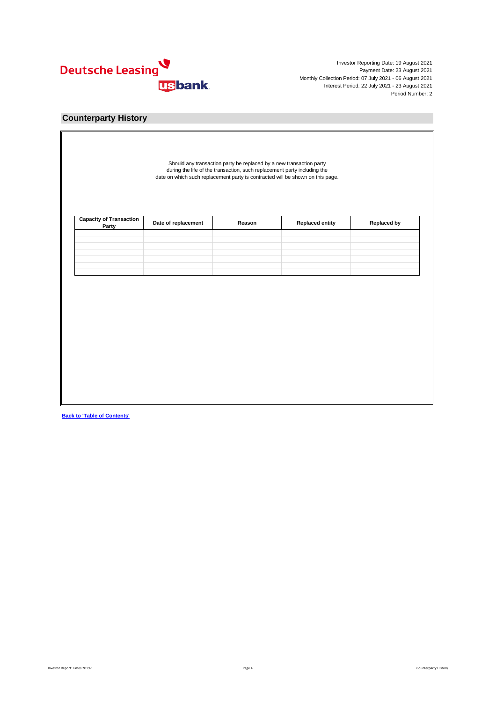

| <b>Capacity of Transaction<br/>Party</b> | Date of replacement | Reason | <b>Replaced entity</b> | <b>Replaced by</b> |
|------------------------------------------|---------------------|--------|------------------------|--------------------|
|                                          |                     |        |                        |                    |
|                                          |                     |        |                        |                    |
|                                          |                     |        |                        |                    |
|                                          |                     |        |                        |                    |
|                                          |                     |        |                        |                    |
|                                          |                     |        |                        |                    |
|                                          |                     |        |                        |                    |

**Back to 'Table of Contents'**

#### **Counterparty History**

Should any transaction party be replaced by a new transaction party during the life of the transaction, such replacement party including the date on which such replacement party is contracted will be shown on this page.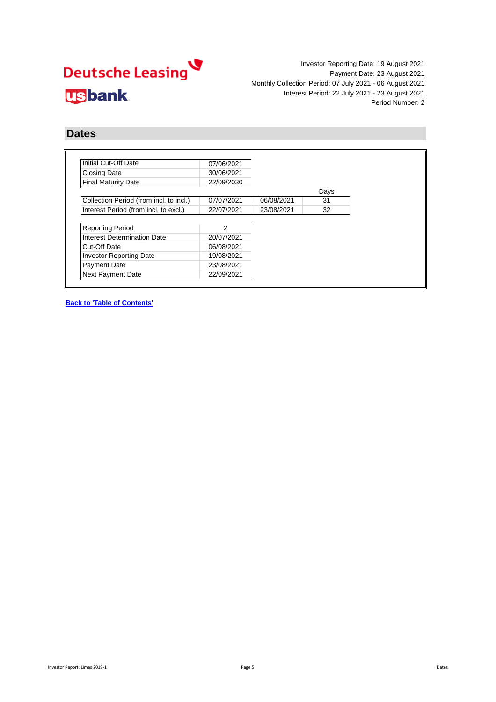# Deutsche Leasing **usbank**

Investor Reporting Date: 19 August 2021 Payment Date: 23 August 2021 Monthly Collection Period: 07 July 2021 - 06 August 2021 Interest Period: 22 July 2021 - 23 August 2021 Period Number: 2

#### **Dates**

| Initial Cut-Off Date                    | 07/06/2021    |            |      |
|-----------------------------------------|---------------|------------|------|
| <b>Closing Date</b>                     | 30/06/2021    |            |      |
| <b>Final Maturity Date</b>              | 22/09/2030    |            |      |
|                                         |               |            | Days |
| Collection Period (from incl. to incl.) | 07/07/2021    | 06/08/2021 | 31   |
| Interest Period (from incl. to excl.)   | 22/07/2021    | 23/08/2021 | 32   |
|                                         |               |            |      |
| <b>Reporting Period</b>                 | $\mathcal{P}$ |            |      |
| Interest Determination Date             | 20/07/2021    |            |      |
| <b>Cut-Off Date</b>                     | 06/08/2021    |            |      |
| <b>Investor Reporting Date</b>          | 19/08/2021    |            |      |
|                                         | 23/08/2021    |            |      |
| <b>Payment Date</b>                     |               |            |      |

**Back to 'Table of Contents'**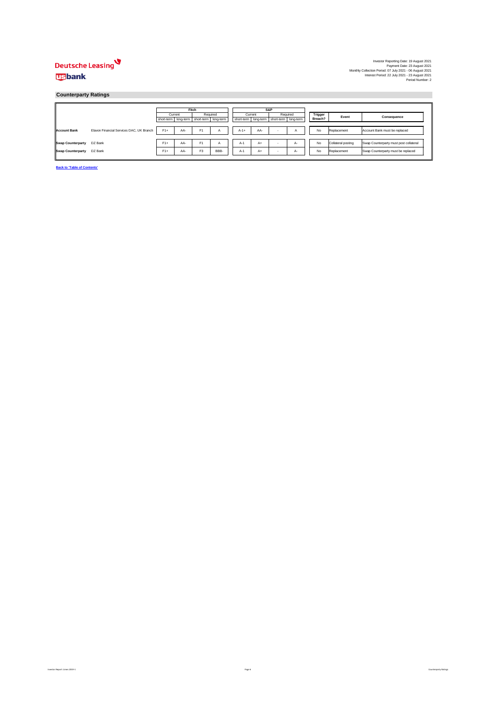

|                          |                                          |                                                 | <b>Fitch</b> |                |                |        |         | <b>S&amp;P</b>                                  |      |                |                    |                                        |              |  |
|--------------------------|------------------------------------------|-------------------------------------------------|--------------|----------------|----------------|--------|---------|-------------------------------------------------|------|----------------|--------------------|----------------------------------------|--------------|--|
|                          |                                          |                                                 | Current      | Required       |                |        | Current | Required                                        |      | <b>Trigger</b> |                    |                                        | <b>Event</b> |  |
|                          |                                          | short-term   long-term   short-term   long-term |              |                |                |        |         | short-term   long-term   short-term   long-term |      | Breach?        | <b>Consequence</b> |                                        |              |  |
|                          |                                          |                                                 |              |                |                |        |         |                                                 |      |                |                    |                                        |              |  |
| Account Bank             | Elavon Financial Services DAC, UK Branch | $F1+$                                           | AA-          | F1             | $\overline{A}$ | $A-1+$ | AA-     | $\sim$                                          | ⌒    | No             | Replacement        | Account Bank must be replaced          |              |  |
|                          |                                          |                                                 |              |                |                |        |         |                                                 |      |                |                    |                                        |              |  |
| Swap Counterparty        | DZ Bank                                  | $F1+$                                           | AA-          | F <sub>1</sub> |                | $A-1$  | A+      | $\sim$                                          | A-   | No             | Collateral posting | Swap Counterparty must post collateral |              |  |
| <b>Swap Counterparty</b> | DZ Bank                                  | $F1+$                                           | AA-          | F <sub>3</sub> | BBB-           | $A-1$  | A+      | ۰                                               | $A-$ | No             | Replacement        | Swap Counterparty must be replaced     |              |  |

**Back to 'Table of Contents'**

Page 6 Counterparty Ratings 2019-1 Page 6 Counterparty Ratings and the Superior Report: Limes 2019-1 Page 6 Counterparty Ratings

#### **Counterparty Ratings**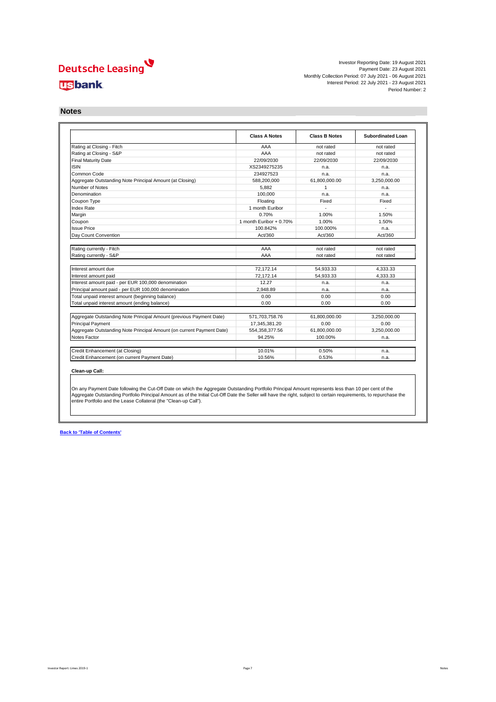

|                                                                       | <b>Class A Notes</b>    | <b>Class B Notes</b> | <b>Subordinated Loan</b> |
|-----------------------------------------------------------------------|-------------------------|----------------------|--------------------------|
| Rating at Closing - Fitch                                             | AAA                     | not rated            | not rated                |
| Rating at Closing - S&P                                               | AAA                     | not rated            | not rated                |
| <b>Final Maturity Date</b>                                            | 22/09/2030              | 22/09/2030           | 22/09/2030               |
| <b>ISIN</b>                                                           | XS2349275235            | n.a.                 | n.a.                     |
| Common Code                                                           | 234927523               | n.a.                 | n.a.                     |
| Aggregate Outstanding Note Principal Amount (at Closing)              | 588,200,000             | 61,800,000.00        | 3,250,000.00             |
| Number of Notes                                                       | 5,882                   | 1                    | n.a.                     |
| Denomination                                                          | 100,000                 | n.a.                 | n.a.                     |
| Coupon Type                                                           | Floating                | Fixed                | Fixed                    |
| Index Rate                                                            | 1 month Euribor         |                      | $\overline{a}$           |
| Margin                                                                | 0.70%                   | 1.00%                | 1.50%                    |
| Coupon                                                                | 1 month Euribor + 0.70% | 1.00%                | 1.50%                    |
| <b>Issue Price</b>                                                    | 100.842%                | 100.000%             | n.a.                     |
| Day Count Convention                                                  | Act/360                 | Act/360              | Act/360                  |
|                                                                       |                         |                      |                          |
| Rating currently - Fitch                                              | AAA                     | not rated            | not rated                |
| Rating currently - S&P                                                | AAA                     | not rated            | not rated                |
|                                                                       |                         |                      |                          |
| Interest amount due                                                   | 72,172.14               | 54,933.33            | 4,333.33                 |
| Interest amount paid                                                  | 72,172.14               | 54,933.33            | 4,333.33                 |
| Interest amount paid - per EUR 100,000 denomination                   | 12.27                   | n.a.                 | n.a.                     |
| Principal amount paid - per EUR 100,000 denomination                  | 2,948.89                | n.a.                 | n.a.                     |
| Total unpaid interest amount (beginning balance)                      | 0.00                    | 0.00                 | 0.00                     |
| Total unpaid interest amount (ending balance)                         | 0.00                    | 0.00                 | 0.00                     |
|                                                                       |                         |                      |                          |
| Aggregate Outstanding Note Principal Amount (previous Payment Date)   | 571,703,758.76          | 61,800,000.00        | 3,250,000.00             |
| <b>Principal Payment</b>                                              | 17,345,381.20           | 0.00                 | 0.00                     |
| Aggregate Outstanding Note Principal Amount (on current Payment Date) | 554,358,377.56          | 61,800,000.00        | 3,250,000.00             |
| Notes Factor                                                          | 94.25%                  | 100.00%              | n.a.                     |
| Credit Enhancement (at Closing)                                       | 10.01%                  | 0.50%                | n.a.                     |
| Credit Enhancement (on current Payment Date)                          | 10.56%                  | 0.53%                | n.a.                     |

#### **Clean-up Call:**

**Back to 'Table of Contents'**

#### **Notes**

On any Payment Date following the Cut-Off Date on which the Aggregate Outstanding Portfolio Principal Amount represents less than 10 per cent of the Aggregate Outstanding Portfolio Principal Amount as of the Initial Cut-Off Date the Seller will have the right, subject to certain requirements, to repurchase the entire Portfolio and the Lease Collateral (the "Clean-up Call").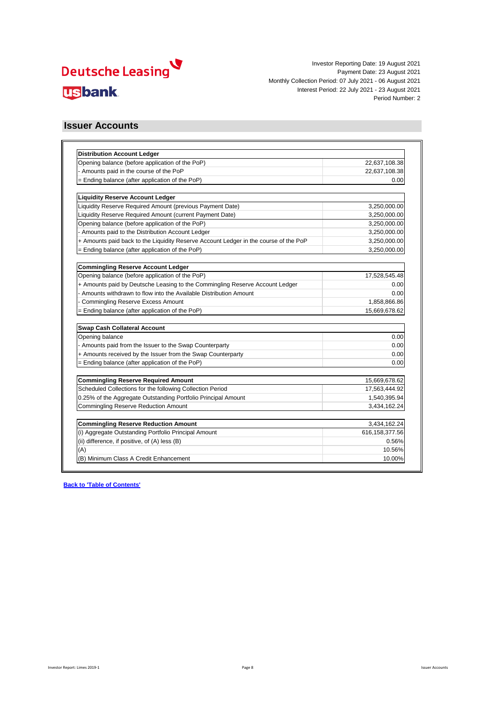

| Opening balance (before application of the PoP)                                      | 22,637,108.38    |
|--------------------------------------------------------------------------------------|------------------|
| - Amounts paid in the course of the PoP                                              | 22,637,108.38    |
| = Ending balance (after application of the PoP)                                      | 0.00             |
| <b>Liquidity Reserve Account Ledger</b>                                              |                  |
| Liquidity Reserve Required Amount (previous Payment Date)                            | 3,250,000.00     |
| Liquidity Reserve Required Amount (current Payment Date)                             | 3,250,000.00     |
| Opening balance (before application of the PoP)                                      | 3,250,000.00     |
| Amounts paid to the Distribution Account Ledger                                      | 3,250,000.00     |
| + Amounts paid back to the Liquidity Reserve Account Ledger in the course of the PoP | 3,250,000.00     |
| = Ending balance (after application of the PoP)                                      | 3,250,000.00     |
|                                                                                      |                  |
| <b>Commingling Reserve Account Ledger</b>                                            |                  |
| Opening balance (before application of the PoP)                                      | 17,528,545.48    |
| + Amounts paid by Deutsche Leasing to the Commingling Reserve Account Ledger         | 0.00             |
| Amounts withdrawn to flow into the Available Distribution Amount                     | 0.00             |
| <b>Commingling Reserve Excess Amount</b>                                             | 1,858,866.86     |
| = Ending balance (after application of the PoP)                                      | 15,669,678.62    |
| <b>Swap Cash Collateral Account</b>                                                  |                  |
| Opening balance                                                                      | 0.00             |
| Amounts paid from the Issuer to the Swap Counterparty                                | 0.00             |
| + Amounts received by the Issuer from the Swap Counterparty                          | 0.00             |
| $=$ Ending balance (after application of the PoP)                                    | 0.00             |
| <b>Commingling Reserve Required Amount</b>                                           | 15,669,678.62    |
| Scheduled Collections for the following Collection Period                            | 17,563,444.92    |
| 0.25% of the Aggregate Outstanding Portfolio Principal Amount                        | 1,540,395.94     |
| <b>Commingling Reserve Reduction Amount</b>                                          | 3,434,162.24     |
|                                                                                      |                  |
| <b>Commingling Reserve Reduction Amount</b>                                          | 3,434,162.24     |
| (i) Aggregate Outstanding Portfolio Principal Amount                                 | 616, 158, 377.56 |
| (ii) difference, if positive, of (A) less (B)                                        | 0.56%            |
| (A)                                                                                  | 10.56%           |
| (B) Minimum Class A Credit Enhancement                                               | 10.00%           |

#### **Issuer Accounts**

Investor Report: Limes 2019-1 Page 8 Issuer Accounts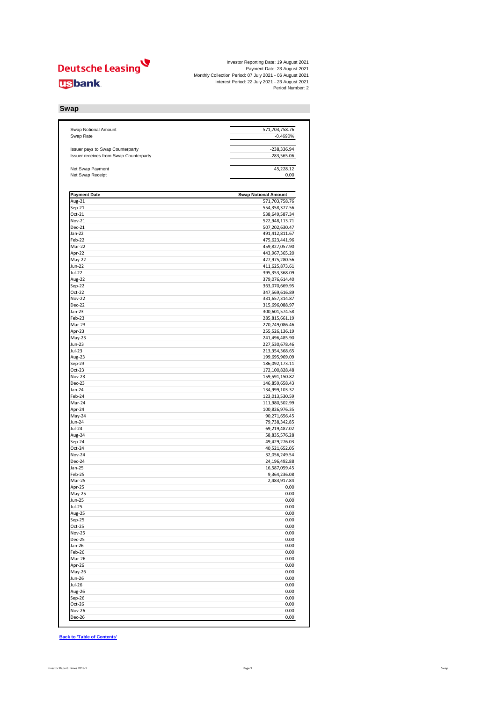

| <b>Swap Notional Amount</b><br>Swap Rate      | 571,703,758.76<br>$-0.4690%$                  |
|-----------------------------------------------|-----------------------------------------------|
|                                               |                                               |
| Issuer pays to Swap Counterparty              | $-238,336.94$                                 |
| <b>Issuer receives from Swap Counterparty</b> | $-283,565.06$                                 |
| Net Swap Payment<br>Net Swap Receipt          | 45,228.12<br>0.00                             |
|                                               |                                               |
| <b>Payment Date</b><br>Aug-21                 | <b>Swap Notional Amount</b><br>571,703,758.76 |
| $Sep-21$                                      | 554,358,377.56                                |
| Oct-21                                        | 538,649,587.34                                |
| <b>Nov-21</b>                                 | 522,948,113.71                                |
| <b>Dec-21</b>                                 | 507,202,630.47                                |
| Jan-22                                        | 491,412,811.67                                |
| Feb-22                                        | 475,623,441.96                                |
| Mar-22                                        | 459,827,057.90                                |
| Apr-22                                        | 443,967,365.20                                |
| May-22<br><b>Jun-22</b>                       | 427,975,280.56                                |
| $Jul-22$                                      | 411,625,873.61<br>395,353,368.09              |
| Aug-22                                        | 379,076,614.40                                |
| Sep-22                                        | 363,070,669.95                                |
| Oct-22                                        | 347,569,616.89                                |
| <b>Nov-22</b>                                 | 331,657,314.87                                |
| <b>Dec-22</b>                                 | 315,696,088.97                                |
| $Jan-23$                                      | 300,601,574.58                                |
| Feb-23                                        | 285,815,661.19                                |
| $Mar-23$                                      | 270,749,086.46<br>255,526,136.19              |
| Apr-23<br>May-23                              | 241,496,485.90                                |
| <b>Jun-23</b>                                 | 227,530,678.46                                |
| Jul-23                                        | 213,354,368.65                                |
| Aug-23                                        | 199,695,969.09                                |
| Sep-23                                        | 186,092,173.11                                |
| $Oct-23$                                      | 172,100,828.48                                |
| <b>Nov-23</b>                                 | 159,591,150.82                                |
| <b>Dec-23</b>                                 | 146,859,658.43                                |
| Jan-24<br>Feb-24                              | 134,999,103.32<br>123,013,530.59              |
| Mar-24                                        | 111,980,502.99                                |
| Apr-24                                        | 100,826,976.35                                |
| May-24                                        | 90,271,656.45                                 |
| <b>Jun-24</b>                                 | 79,738,342.85                                 |
| <b>Jul-24</b>                                 | 69,219,487.02                                 |
| Aug-24                                        | 58,835,576.28                                 |
| Sep-24                                        | 49,429,276.03                                 |
| Oct-24<br><b>Nov-24</b>                       | 40,521,652.05<br>32,056,249.54                |
| Dec-24                                        | 24,196,492.88                                 |
| Jan-25                                        | 16,587,059.45                                 |
| Feb-25                                        | 9,364,236.08                                  |
| Mar-25                                        | 2,483,917.84                                  |
| Apr-25                                        | 0.00                                          |
| $May-25$                                      | 0.00                                          |
| <b>Jun-25</b>                                 | 0.00                                          |
| <b>Jul-25</b><br>Aug-25                       | 0.00<br>0.00                                  |
| Sep-25                                        | 0.00                                          |
| Oct-25                                        | 0.00                                          |
| <b>Nov-25</b>                                 | 0.00                                          |
| <b>Dec-25</b>                                 | 0.00                                          |
| $Jan-26$                                      | 0.00                                          |
| Feb-26                                        | 0.00                                          |
| Mar-26                                        | 0.00                                          |
| Apr-26                                        | 0.00                                          |
| May-26<br><b>Jun-26</b>                       | 0.00<br>0.00                                  |
| <b>Jul-26</b>                                 | 0.00                                          |
| Aug-26                                        | 0.00                                          |
| Sep-26                                        | 0.00                                          |
| Oct-26                                        | 0.00                                          |
| <b>Nov-26</b>                                 | 0.00                                          |
| <b>Dec-26</b>                                 | 0.00                                          |

**Back to 'Table of Contents'**

## **Swap**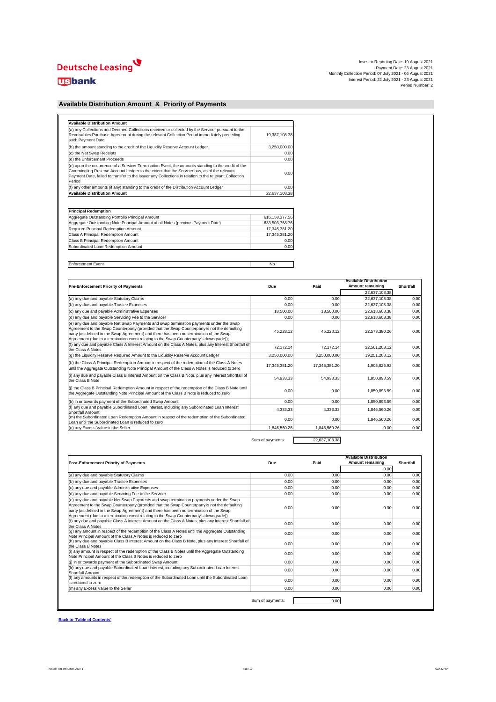

| <b>Available Distribution Amount</b>                                                                                                                                                                                                                                                                                |               |
|---------------------------------------------------------------------------------------------------------------------------------------------------------------------------------------------------------------------------------------------------------------------------------------------------------------------|---------------|
| (a) any Collections and Deemed Collections received or collected by the Servicer pursuant to the<br>Receivables Purchase Agreement during the relevant Collection Period immediately preceding<br>such Payment Date                                                                                                 | 19,387,108.38 |
| (b) the amount standing to the credit of the Liquidity Reserve Account Ledger                                                                                                                                                                                                                                       | 3,250,000.00  |
| (c) the Net Swap Receipts                                                                                                                                                                                                                                                                                           | 0.00          |
| (d) the Enforcement Proceeds                                                                                                                                                                                                                                                                                        | 0.00          |
| (e) upon the occurrence of a Servicer Termination Event, the amounts standing to the credit of the<br>Commingling Reserve Account Ledger to the extent that the Servicer has, as of the relevant<br>Payment Date, failed to transfer to the Issuer any Collections in relation to the relevant Collection<br>Period | 0.001         |
| (f) any other amounts (if any) standing to the credit of the Distribution Account Ledger                                                                                                                                                                                                                            | 0.00          |
| <b>Available Distribution Amount</b>                                                                                                                                                                                                                                                                                | 22,637,108.38 |

| <b>Principal Redemption</b>                                                      |                |
|----------------------------------------------------------------------------------|----------------|
| Aggregate Outstanding Portfolio Principal Amount                                 | 616,158,377.56 |
| Aggregate Outstanding Note Principal Amount of all Notes (previous Payment Date) | 633,503,758.76 |
| Required Principal Redemption Amount                                             | 17,345,381.20  |
| <b>Class A Principal Redemption Amount</b>                                       | 17,345,381.20  |
| <b>Class B Principal Redemption Amount</b>                                       | 0.00           |
| Subordinated Loan Redemption Amount                                              | 0.00           |

| Enf<br>vent :<br><u>ucilicii.</u><br>. | <b>NC</b><br>$\sim$ |
|----------------------------------------|---------------------|

|                                                                                                                                                                                                                                                                                                                                                                             |               |               | <b>Available Distribution</b> |                  |
|-----------------------------------------------------------------------------------------------------------------------------------------------------------------------------------------------------------------------------------------------------------------------------------------------------------------------------------------------------------------------------|---------------|---------------|-------------------------------|------------------|
| <b>Pre-Enforcement Priority of Payments</b>                                                                                                                                                                                                                                                                                                                                 | <b>Due</b>    | Paid          | <b>Amount remaining</b>       | <b>Shortfall</b> |
|                                                                                                                                                                                                                                                                                                                                                                             |               |               | 22,637,108.38                 |                  |
| (a) any due and payable Statutory Claims                                                                                                                                                                                                                                                                                                                                    | 0.00          | 0.00          | 22,637,108.38                 | 0.00             |
| (b) any due and payable Trustee Expenses                                                                                                                                                                                                                                                                                                                                    | 0.00          | 0.00          | 22,637,108.38                 | 0.00             |
| (c) any due and payable Administrative Expenses                                                                                                                                                                                                                                                                                                                             | 18,500.00     | 18,500.00     | 22,618,608.38                 | 0.00             |
| (d) any due and payable Servicing Fee to the Servicer                                                                                                                                                                                                                                                                                                                       | 0.00          | 0.00          | 22,618,608.38                 | 0.00             |
| (e) any due and payable Net Swap Payments and swap termination payments under the Swap<br>Agreement to the Swap Counterparty (provided that the Swap Counterparty is not the defaulting<br>party (as defined in the Swap Agreement) and there has been no termination of the Swap<br>Agreement (due to a termination event relating to the Swap Counterparty's downgrade)); | 45,228.12     | 45,228.12     | 22,573,380.26                 | 0.00             |
| (f) any due and payable Class A Interest Amount on the Class A Notes, plus any Interest Shortfall of<br>the Class A Notes                                                                                                                                                                                                                                                   | 72,172.14     | 72,172.14     | 22,501,208.12                 | 0.00             |
| (g) the Liquidity Reserve Required Amount to the Liquidity Reserve Account Ledger                                                                                                                                                                                                                                                                                           | 3,250,000.00  | 3,250,000.00  | 19,251,208.12                 | 0.00             |
| (h) the Class A Principal Redemption Amount in respect of the redemption of the Class A Notes<br>until the Aggregate Outstanding Note Principal Amount of the Class A Notes is reduced to zero                                                                                                                                                                              | 17,345,381.20 | 17,345,381.20 | 1,905,826.92                  | 0.00             |
| (i) any due and payable Class B Interest Amount on the Class B Note, plus any Interest Shortfall of<br>the Class B Note                                                                                                                                                                                                                                                     | 54,933.33     | 54,933.33     | 1,850,893.59                  | 0.00             |
| (i) the Class B Principal Redemption Amount in respect of the redemption of the Class B Note until<br>the Aggregate Outstanding Note Principal Amount of the Class B Note is reduced to zero                                                                                                                                                                                | 0.00          | 0.00          | 1,850,893.59                  | 0.00             |
| (k) in or towards payment of the Subordinated Swap Amount                                                                                                                                                                                                                                                                                                                   | 0.00          | 0.00          | 1,850,893.59                  | 0.00             |
| (I) any due and payable Subordinated Loan Interest, including any Subordinated Loan Interest<br><b>Shortfall Amount</b>                                                                                                                                                                                                                                                     | 4,333.33      | 4,333.33      | 1,846,560.26                  | 0.00             |
| (m) the Subordinated Loan Redemption Amount in respect of the redemption of the Subordinated<br>Loan until the Subordinated Loan is reduced to zero                                                                                                                                                                                                                         | 0.00          | 0.00          | 1,846,560.26                  | 0.00             |
| (n) any Excess Value to the Seller                                                                                                                                                                                                                                                                                                                                          | 1,846,560.26  | 1,846,560.26  | 0.00                          | 0.00             |

Sum of payments: 22,637,108.38

|                                                                                                                                                                                                                                                                                                                                                                            |                  |      | <b>Available Distribution</b> |                  |
|----------------------------------------------------------------------------------------------------------------------------------------------------------------------------------------------------------------------------------------------------------------------------------------------------------------------------------------------------------------------------|------------------|------|-------------------------------|------------------|
| <b>Post-Enforcement Priority of Payments</b>                                                                                                                                                                                                                                                                                                                               | <b>Due</b>       | Paid | <b>Amount remaining</b>       | <b>Shortfall</b> |
|                                                                                                                                                                                                                                                                                                                                                                            |                  |      | 0.00                          |                  |
| (a) any due and payable Statutory Claims                                                                                                                                                                                                                                                                                                                                   | 0.00             | 0.00 | 0.00                          | 0.00             |
| (b) any due and payable Trustee Expenses                                                                                                                                                                                                                                                                                                                                   | 0.00             | 0.00 | 0.00                          | 0.00             |
| (c) any due and payable Administrative Expenses                                                                                                                                                                                                                                                                                                                            | 0.00             | 0.00 | 0.00                          | 0.00             |
| (d) any due and payable Servicing Fee to the Servicer                                                                                                                                                                                                                                                                                                                      | 0.00             | 0.00 | 0.00                          | 0.00             |
| (e) any due and payable Net Swap Payments and swap termination payments under the Swap<br>Agreement to the Swap Counterparty (provided that the Swap Counterparty is not the defaulting<br>party (as defined in the Swap Agreement) and there has been no termination of the Swap<br>Agreement (due to a termination event relating to the Swap Counterparty's downgrade)) | 0.00             | 0.00 | 0.00                          | 0.00             |
| (f) any due and payable Class A Interest Amount on the Class A Notes, plus any Interest Shortfall of<br>the Class A Notes                                                                                                                                                                                                                                                  | 0.00             | 0.00 | 0.00                          | 0.00             |
| (g) any amount in respect of the redemption of the Class A Notes until the Aggregate Outstanding<br>Note Principal Amount of the Class A Notes is reduced to zero                                                                                                                                                                                                          | 0.00             | 0.00 | 0.00                          | 0.00             |
| (h) any due and payable Class B Interest Amount on the Class B Note, plus any Interest Shortfall of<br>the Class B Notes                                                                                                                                                                                                                                                   | 0.00             | 0.00 | 0.00                          | 0.00             |
| (i) any amount in respect of the redemption of the Class B Notes until the Aggregate Outstanding<br>Note Principal Amount of the Class B Notes is reduced to zero                                                                                                                                                                                                          | 0.00             | 0.00 | 0.00                          | 0.00             |
| (i) in or towards payment of the Subordinated Swap Amount                                                                                                                                                                                                                                                                                                                  | 0.00             | 0.00 | 0.00                          | 0.00             |
| (k) any due and payable Subordinated Loan Interest, including any Subordinated Loan Interest<br><b>Shortfall Amount</b>                                                                                                                                                                                                                                                    | 0.00             | 0.00 | 0.00                          | 0.00             |
| (I) any amounts in respect of the redemption of the Subordinated Loan until the Subordinated Loan<br>is reduced to zero                                                                                                                                                                                                                                                    | 0.00             | 0.00 | 0.00                          | 0.00             |
| (m) any Excess Value to the Seller                                                                                                                                                                                                                                                                                                                                         | 0.00             | 0.00 | 0.00                          | 0.00             |
|                                                                                                                                                                                                                                                                                                                                                                            | Sum of payments: | 0.00 |                               |                  |

**Back to 'Table of Contents'**

## **Available Distribution Amount & Priority of Payments**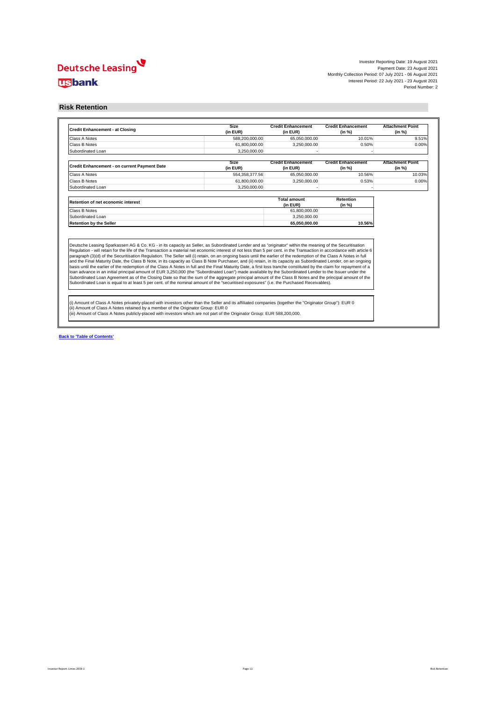

**Back to 'Table of Contents'**

#### **Risk Retention**

| <b>Credit Enhancement - at Closing</b>                                                                                                                                                                                                                                                                                                                                                                                                                                                                                                                                                                                                                                        | <b>Size</b><br>(in EUR) | <b>Credit Enhancement</b><br>(in EUR) | <b>Credit Enhancement</b><br>(in %) | <b>Attachment Point</b><br>(in %) |
|-------------------------------------------------------------------------------------------------------------------------------------------------------------------------------------------------------------------------------------------------------------------------------------------------------------------------------------------------------------------------------------------------------------------------------------------------------------------------------------------------------------------------------------------------------------------------------------------------------------------------------------------------------------------------------|-------------------------|---------------------------------------|-------------------------------------|-----------------------------------|
| <b>Class A Notes</b>                                                                                                                                                                                                                                                                                                                                                                                                                                                                                                                                                                                                                                                          | 588,200,000.00          | 65,050,000.00                         | 10.01%                              | 9.51%                             |
| <b>Class B Notes</b>                                                                                                                                                                                                                                                                                                                                                                                                                                                                                                                                                                                                                                                          | 61,800,000.00           | 3,250,000.00                          | 0.50%                               | 0.00%                             |
| Subordinated Loan                                                                                                                                                                                                                                                                                                                                                                                                                                                                                                                                                                                                                                                             | 3,250,000.00            |                                       |                                     |                                   |
|                                                                                                                                                                                                                                                                                                                                                                                                                                                                                                                                                                                                                                                                               | <b>Size</b>             | <b>Credit Enhancement</b>             | <b>Credit Enhancement</b>           | <b>Attachment Point</b>           |
| <b>Credit Enhancement - on current Payment Date</b>                                                                                                                                                                                                                                                                                                                                                                                                                                                                                                                                                                                                                           | (in EUR)                | (in EUR)                              | (in %)                              | (in %)                            |
| <b>Class A Notes</b>                                                                                                                                                                                                                                                                                                                                                                                                                                                                                                                                                                                                                                                          | 554,358,377.56          | 65,050,000.00                         | 10.56%                              | 10.03%                            |
| <b>Class B Notes</b>                                                                                                                                                                                                                                                                                                                                                                                                                                                                                                                                                                                                                                                          | 61,800,000.00           | 3,250,000.00                          | 0.53%                               | 0.00%                             |
| Subordinated Loan                                                                                                                                                                                                                                                                                                                                                                                                                                                                                                                                                                                                                                                             | 3,250,000.00            |                                       |                                     |                                   |
| <b>Retention of net economic interest</b>                                                                                                                                                                                                                                                                                                                                                                                                                                                                                                                                                                                                                                     |                         | <b>Total amount</b><br>(in EUR)       | <b>Retention</b><br>(in %)          |                                   |
| <b>Class B Notes</b>                                                                                                                                                                                                                                                                                                                                                                                                                                                                                                                                                                                                                                                          |                         | 61,800,000.00                         |                                     |                                   |
| Subordinated Loan                                                                                                                                                                                                                                                                                                                                                                                                                                                                                                                                                                                                                                                             |                         | 3,250,000.00                          |                                     |                                   |
| <b>Retention by the Seller</b>                                                                                                                                                                                                                                                                                                                                                                                                                                                                                                                                                                                                                                                |                         | 65,050,000.00                         | 10.56%                              |                                   |
| Deutsche Leasing Sparkassen AG & Co. KG - in its capacity as Seller, as Subordinated Lender and as "originator" within the meaning of the Securitisation<br>Regulation - will retain for the life of the Transaction a material net economic interest of not less than 5 per cent. in the Transaction in accordance with article 6<br>paragraph (3)(d) of the Securitisation Regulation. The Seller will (i) retain, on an ongoing basis until the earlier of the redemption of the Class A Notes in full<br>and the Final Maturity Date, the Class B Note, in its capacity as Class B Note Purchaser, and (ii) retain, in its capacity as Subordinated Lender, on an ongoing |                         |                                       |                                     |                                   |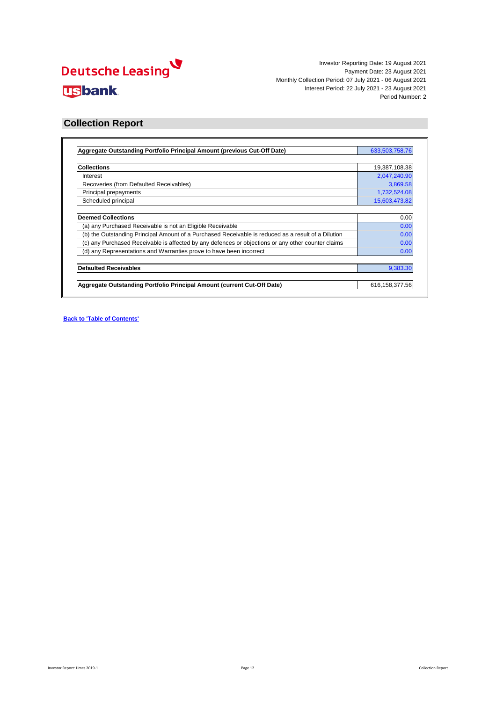

| Aggregate Outstanding Portfolio Principal Amount (previous Cut-Off Date)                            | 633,503,758.76   |
|-----------------------------------------------------------------------------------------------------|------------------|
|                                                                                                     |                  |
| <b>Collections</b>                                                                                  | 19,387,108.38    |
| Interest                                                                                            | 2,047,240.90     |
| Recoveries (from Defaulted Receivables)                                                             | 3,869.58         |
| Principal prepayments                                                                               | 1,732,524.08     |
| Scheduled principal                                                                                 | 15,603,473.82    |
| <b>Deemed Collections</b>                                                                           | 0.00             |
| (a) any Purchased Receivable is not an Eligible Receivable                                          | 0.00             |
| (b) the Outstanding Principal Amount of a Purchased Receivable is reduced as a result of a Dilution | 0.00             |
| (c) any Purchased Receivable is affected by any defences or objections or any other counter claims  | 0.00             |
| (d) any Representations and Warranties prove to have been incorrect                                 | 0.00             |
| <b>Defaulted Receivables</b>                                                                        | 9,383.30         |
|                                                                                                     |                  |
| Aggregate Outstanding Portfolio Principal Amount (current Cut-Off Date)                             | 616, 158, 377.56 |

**Back to 'Table of Contents'**

#### **Collection Report**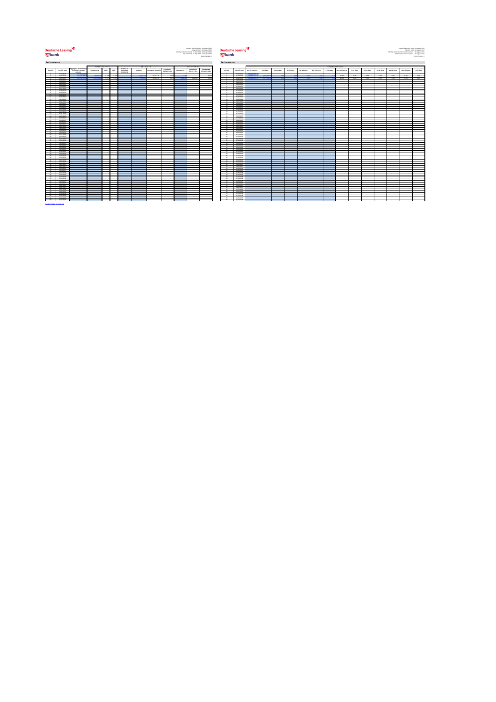# **Deutsche Leasing usbank**



Investor Reporting Date: 19 August 2021 And July 2021 And July 2021 And July 2021 And July 2021 And July 2021 And July 2021 And July 2021 And July 2021 And July 2021 And July 2021 And July 2021 And July 2021 And July 2021 Payment Date: 23 August 2021 **PEULSCITE LEASING** Payment Date: 23 August 2021 Payment Date: 23 August 2021 Payment Date: 23 August 2021 Payment Date: 23 August 2021 Payment Date: 23 August 2021 Payment Date: 23 August 2021 Monthly Collection Period: 07 July 2021 - 06 August 2021 - 06 August 2021 - 08 August 2021 - 06 August 2021 - 06 August 2021 - 06 August 2021 - 06 August 2021 - 06 August 2021 - 06 August 2021 - 06 August 2021 - 06 August Interest Period: 22 July 2021 - 23 August 2021 Interest Period: 22 July 2021 - 23 August 2021 Interest Period: 22 July 2021 - 23 August 2021 Interest Period: 22 July 2021 - 23 August 2021 Interest Period: 22 July 2021 - 23 Period Number: 2 Period Number: 2

|                            |                          |                                                                             | PREPAYMENTS       |                          |               |                                                   | DEFAULTS                 |                          |                                   |                                                                                                                                 | RECOVERIES                        |                                        |                         |                          |                |                          |                          |                          |                          |                          |                          | DELINQUENCIES            |                          |                          |                         |                          |                          |                          |
|----------------------------|--------------------------|-----------------------------------------------------------------------------|-------------------|--------------------------|---------------|---------------------------------------------------|--------------------------|--------------------------|-----------------------------------|---------------------------------------------------------------------------------------------------------------------------------|-----------------------------------|----------------------------------------|-------------------------|--------------------------|----------------|--------------------------|--------------------------|--------------------------|--------------------------|--------------------------|--------------------------|--------------------------|--------------------------|--------------------------|-------------------------|--------------------------|--------------------------|--------------------------|
| Period                     | <b>Cut-Off Date</b>      | <b>Aggregate Outstanding</b><br><b>Portfolio Principal</b><br><b>Amount</b> | Prepayments       | <b>SMM</b>               | <b>CPR</b>    | Number of<br><b>Defaulted</b><br><b>Contracts</b> | <b>Defaults</b>          | Cumulative Defaults      | Cumulative<br><b>Default Rate</b> | <b>Recoveries</b>                                                                                                               | Cumulative                        | Cumulative<br>Recoveries Recovery Rate | Period                  | <b>Cut-Off Date</b>      | Not delinquent | $1-30$ days              | 31-60 days               | 61-90 days               | 91-120 days              | 121-150 days             | > 150 days               | Not delinquent           | $1-30$ days              | 31-60 days               | 61-90 days              | 91-120 days              | 121-150 days             | > 150 days               |
|                            | 07/06/2021               | 649,999,999.                                                                | <b>Contractor</b> | <b>Contract Contract</b> | $\sim$ $\sim$ | <b>Contract Contract</b>                          | <b>Contract Contract</b> | <b>Contract Contract</b> | <b>Contract Contract Contract</b> | <b>Contract Contract State</b>                                                                                                  | <b>Contract Contract Contract</b> | <b>Contract Contract</b>               |                         | 07/06/2021               | 649.999.999.3  | <b>Contract Contract</b> | <b>Contract Contract</b> | <b>Contract Contract</b> | <b>Contract Contract</b> | <b>Contract Contract</b> | <b>Contract Contract</b> | <b>Contract Contract</b> | <b>Contract Contract</b> | <b>Contract Contract</b> | <b>Service Contract</b> | <b>Contract Contract</b> | <b>Contract Contract</b> | <b>Contract Contract</b> |
|                            | 06/07/2021               | 633,503,758.                                                                | 903,721.7         | 0.07%                    | 0.83%         |                                                   | 56.697.                  | 56,697.09                | 0.01%                             |                                                                                                                                 |                                   | 0.00%                                  |                         | 06/07/2021               | 630,875,673.8  | 2,628,084.9              |                          |                          |                          |                          |                          | 99.6%                    | 0.4%                     | $0.0\%$                  | $0.0\%$                 | $0.0\%$                  | $0.0\%$                  | $0.0\%$                  |
|                            | 06/08/2021               | 616,158,377.5                                                               | 1,732,524.08      | 0.27%                    | $3.23\%$      |                                                   | 9.383.3                  | 66,080.39                | $0.01\%$                          | 3.869.5                                                                                                                         | 3,869.58                          | 5.86%                                  |                         | 06/08/2021               | 613,886,217.2  | 2,272,160.3              |                          |                          |                          |                          |                          | 99.6%                    | 0.4%                     | $0.0\%$                  | $0.0\%$                 | $0.0\%$                  | $0.0\%$                  | $0.0\%$                  |
| 4                          | 06/09/2021<br>06/10/2021 |                                                                             |                   |                          |               |                                                   |                          |                          |                                   |                                                                                                                                 |                                   |                                        |                         | 06/09/2021<br>06/10/2021 |                |                          |                          |                          |                          |                          |                          |                          |                          |                          |                         |                          |                          |                          |
|                            | 06/11/2021               |                                                                             |                   |                          |               |                                                   |                          |                          |                                   | $\mathcal{L}^{\text{max}}_{\text{max}}$ and $\mathcal{L}^{\text{max}}_{\text{max}}$ and $\mathcal{L}^{\text{max}}_{\text{max}}$ |                                   |                                        |                         | 06/11/2021               |                |                          |                          |                          |                          |                          |                          |                          |                          |                          |                         |                          |                          |                          |
|                            | 06/12/2021               |                                                                             |                   |                          |               |                                                   |                          |                          |                                   |                                                                                                                                 |                                   |                                        |                         | 06/12/2021               |                |                          |                          |                          |                          |                          |                          |                          |                          |                          |                         |                          |                          |                          |
|                            | 06/01/2022               |                                                                             |                   |                          |               |                                                   |                          |                          |                                   |                                                                                                                                 |                                   |                                        |                         | 06/01/2022               |                |                          |                          |                          |                          |                          |                          |                          |                          |                          |                         |                          |                          |                          |
|                            | 06/02/2022               |                                                                             |                   |                          |               |                                                   |                          |                          |                                   |                                                                                                                                 |                                   |                                        |                         | 06/02/2022               |                |                          |                          |                          |                          |                          |                          |                          |                          |                          |                         |                          |                          |                          |
|                            | 06/03/2022               |                                                                             |                   |                          |               |                                                   |                          |                          |                                   |                                                                                                                                 |                                   |                                        |                         | 06/03/2022               |                |                          |                          |                          |                          |                          |                          |                          |                          |                          |                         |                          |                          |                          |
| - 10<br>$-11$              | 06/04/2022<br>06/05/2022 |                                                                             |                   |                          |               |                                                   |                          |                          |                                   |                                                                                                                                 |                                   |                                        |                         | 06/04/2022<br>06/05/2022 |                |                          |                          |                          |                          |                          |                          |                          |                          |                          |                         |                          |                          |                          |
| 12                         | 06/06/2022               |                                                                             |                   |                          |               |                                                   |                          |                          |                                   |                                                                                                                                 |                                   |                                        |                         | 06/06/2022               |                |                          |                          |                          |                          |                          |                          |                          |                          |                          |                         |                          |                          |                          |
| 13                         | 06/07/2022               |                                                                             |                   |                          |               |                                                   |                          |                          |                                   |                                                                                                                                 |                                   |                                        |                         | 06/07/2022               |                |                          |                          |                          |                          |                          |                          |                          |                          |                          |                         |                          |                          |                          |
| - 14                       | 06/08/2022               |                                                                             |                   |                          |               |                                                   |                          |                          |                                   |                                                                                                                                 |                                   |                                        |                         | 06/08/2022               |                |                          |                          |                          |                          |                          |                          |                          |                          |                          |                         |                          |                          |                          |
| 15                         | 06/09/2022               |                                                                             |                   |                          |               |                                                   |                          |                          |                                   |                                                                                                                                 |                                   |                                        |                         | 06/09/2022               |                |                          |                          |                          |                          |                          |                          |                          |                          |                          |                         |                          |                          |                          |
| - 16                       | 06/10/2022               |                                                                             |                   |                          |               |                                                   |                          |                          |                                   |                                                                                                                                 |                                   |                                        |                         | 06/10/2022               |                |                          |                          |                          |                          |                          |                          |                          |                          |                          |                         |                          |                          |                          |
| 17                         | 06/11/2022               |                                                                             |                   |                          |               |                                                   |                          |                          |                                   |                                                                                                                                 |                                   |                                        | 17                      | 06/11/2022               |                |                          |                          |                          |                          |                          |                          |                          |                          |                          |                         |                          |                          |                          |
| 18<br>19                   | 06/12/2022<br>06/01/2023 |                                                                             |                   |                          |               |                                                   |                          |                          |                                   |                                                                                                                                 |                                   |                                        | $\overline{18}$<br>- 10 | 06/12/2022<br>06/01/2023 |                |                          |                          |                          |                          |                          |                          |                          |                          |                          |                         |                          |                          |                          |
| 20                         | 06/02/2023               |                                                                             |                   |                          |               |                                                   |                          |                          |                                   | $\mathcal{L}^{\text{max}}_{\text{max}}$ and $\mathcal{L}^{\text{max}}_{\text{max}}$ and $\mathcal{L}^{\text{max}}_{\text{max}}$ |                                   |                                        | ാറ                      | 06/02/2023               |                |                          |                          |                          |                          |                          |                          |                          |                          |                          |                         |                          |                          |                          |
| 21                         | 06/03/2023               |                                                                             |                   |                          |               |                                                   |                          |                          |                                   |                                                                                                                                 |                                   |                                        |                         | 06/03/2023               |                |                          |                          |                          |                          |                          |                          |                          |                          |                          |                         |                          |                          |                          |
| 22                         | 06/04/2023               |                                                                             |                   |                          |               |                                                   |                          |                          |                                   | $\mathcal{L}^{\text{max}}_{\text{max}}$ and $\mathcal{L}^{\text{max}}_{\text{max}}$ and $\mathcal{L}^{\text{max}}_{\text{max}}$ |                                   |                                        |                         | 06/04/2023               |                |                          |                          |                          |                          |                          |                          |                          |                          |                          |                         |                          |                          |                          |
|                            | 06/05/2023               |                                                                             |                   |                          |               |                                                   |                          |                          |                                   |                                                                                                                                 |                                   |                                        |                         | 06/05/2023               |                |                          |                          |                          |                          |                          |                          |                          |                          |                          |                         |                          |                          |                          |
| - 24                       | 06/06/2023               |                                                                             |                   |                          |               |                                                   |                          |                          |                                   |                                                                                                                                 |                                   |                                        |                         | 06/06/2023               |                |                          |                          |                          |                          |                          |                          |                          |                          |                          |                         |                          |                          |                          |
| -25                        | 06/07/2023               |                                                                             |                   |                          |               |                                                   |                          |                          |                                   |                                                                                                                                 |                                   |                                        |                         | 06/07/2023               |                |                          |                          |                          |                          |                          |                          |                          |                          |                          |                         |                          |                          |                          |
| 27                         | 06/08/2023<br>06/09/2023 |                                                                             |                   |                          |               |                                                   |                          |                          |                                   |                                                                                                                                 |                                   |                                        | - 27                    | 06/08/2023<br>06/09/2023 |                |                          |                          |                          |                          |                          |                          |                          |                          |                          |                         |                          |                          |                          |
|                            | 06/10/2023               |                                                                             |                   |                          |               |                                                   |                          |                          |                                   |                                                                                                                                 |                                   |                                        |                         | 06/10/2023               |                |                          |                          |                          |                          |                          |                          |                          |                          |                          |                         |                          |                          |                          |
| 29                         | 06/11/2023               |                                                                             |                   |                          |               |                                                   |                          |                          |                                   |                                                                                                                                 |                                   |                                        |                         | 06/11/2023               |                |                          |                          |                          |                          |                          |                          |                          |                          |                          |                         |                          |                          |                          |
| - 30                       | 06/12/2023               |                                                                             |                   |                          |               |                                                   |                          |                          |                                   |                                                                                                                                 |                                   |                                        |                         | 06/12/2023               |                |                          |                          |                          |                          |                          |                          |                          |                          |                          |                         |                          |                          |                          |
| $-31$                      | 06/01/2024               |                                                                             |                   |                          |               |                                                   |                          |                          |                                   |                                                                                                                                 |                                   |                                        |                         | 06/01/2024               |                |                          |                          |                          |                          |                          |                          |                          |                          |                          |                         |                          |                          |                          |
| 32                         | 06/02/2024               |                                                                             |                   |                          |               |                                                   |                          |                          |                                   |                                                                                                                                 |                                   |                                        |                         | 06/02/2024               |                |                          |                          |                          |                          |                          |                          |                          |                          |                          |                         |                          |                          |                          |
| - 33                       | 06/03/2024               |                                                                             |                   |                          |               |                                                   |                          |                          |                                   | <b>Contract Contract Contract Contract Contract Contract Contract Contract Contract Contract Contract Contract Co</b>           |                                   |                                        |                         | 06/03/2024               |                |                          |                          |                          |                          |                          |                          |                          |                          |                          |                         |                          |                          |                          |
| - 34                       | 06/04/2024<br>06/05/2024 |                                                                             |                   |                          |               |                                                   |                          |                          |                                   | <b>Contract Contract Contract Contract Contract Contract Contract Contract Contract Contract Contract Contract Co</b>           |                                   |                                        |                         | 06/04/2024<br>06/05/2024 |                |                          |                          |                          |                          |                          |                          |                          |                          |                          |                         |                          |                          |                          |
| - 36                       | 06/06/2024               |                                                                             |                   |                          |               |                                                   |                          |                          |                                   |                                                                                                                                 |                                   |                                        |                         | 06/06/2024               |                |                          |                          |                          |                          |                          |                          |                          |                          |                          |                         |                          |                          |                          |
| - 27                       | 06/07/2024               |                                                                             |                   |                          |               |                                                   |                          |                          |                                   | and the state of the state of the state of the state of the state of the state of the state of the state of th                  |                                   |                                        | - 27                    | 06/07/2024               |                |                          |                          |                          |                          |                          |                          |                          |                          |                          |                         |                          |                          |                          |
|                            | 06/08/2024               |                                                                             |                   |                          |               |                                                   |                          |                          |                                   | <b>Contract Contract Contract Contract Contract Contract Contract Contract Contract Contract Contract Contract Co</b>           |                                   |                                        |                         | 06/08/2024               |                |                          |                          |                          |                          |                          |                          |                          |                          |                          |                         |                          |                          |                          |
|                            | 06/09/2024               |                                                                             |                   |                          |               |                                                   |                          |                          |                                   |                                                                                                                                 |                                   |                                        |                         | 06/09/2024               |                |                          |                          |                          |                          |                          |                          |                          |                          |                          |                         |                          |                          |                          |
| - 40                       | 06/10/2024               |                                                                             |                   |                          |               |                                                   |                          |                          |                                   |                                                                                                                                 |                                   |                                        |                         | 06/10/2024               |                |                          |                          |                          |                          |                          |                          |                          |                          |                          |                         |                          |                          |                          |
| - 41<br>- 42               | 06/11/2024<br>06/12/2024 |                                                                             |                   |                          |               |                                                   |                          |                          |                                   |                                                                                                                                 |                                   |                                        |                         | 06/11/2024<br>06/12/2024 |                |                          |                          |                          |                          |                          |                          |                          |                          |                          |                         |                          |                          |                          |
| 43                         | 06/01/2025               |                                                                             |                   |                          |               |                                                   |                          |                          |                                   |                                                                                                                                 |                                   |                                        | ่ 43                    | 06/01/2025               |                |                          |                          |                          |                          |                          |                          |                          |                          |                          |                         |                          |                          |                          |
| -44                        | 06/02/2025               |                                                                             |                   |                          |               |                                                   |                          |                          |                                   |                                                                                                                                 |                                   |                                        |                         | 06/02/2025               |                |                          |                          |                          |                          |                          |                          |                          |                          |                          |                         |                          |                          |                          |
| - 45                       | 06/03/2025               |                                                                             |                   |                          |               |                                                   |                          |                          |                                   |                                                                                                                                 |                                   |                                        |                         | 06/03/2025               |                |                          |                          |                          |                          |                          |                          |                          |                          |                          |                         |                          |                          |                          |
| - 46                       | 06/04/2025               |                                                                             |                   |                          |               |                                                   |                          |                          |                                   |                                                                                                                                 |                                   |                                        |                         | 06/04/2025               |                |                          |                          |                          |                          |                          |                          |                          |                          |                          |                         |                          |                          |                          |
| 47                         | 06/05/2025               |                                                                             |                   |                          |               |                                                   |                          |                          |                                   |                                                                                                                                 |                                   |                                        |                         | 06/05/2025               |                |                          |                          |                          |                          |                          |                          |                          |                          |                          |                         |                          |                          |                          |
| - 48                       | 06/06/2025               |                                                                             |                   |                          |               |                                                   |                          |                          |                                   |                                                                                                                                 |                                   |                                        |                         | 06/06/2025               |                |                          |                          |                          |                          |                          |                          |                          |                          |                          |                         |                          |                          |                          |
| 49<br>50                   | 06/07/2025<br>06/08/2025 |                                                                             |                   |                          |               |                                                   |                          |                          |                                   |                                                                                                                                 |                                   |                                        | <b>50</b>               | 06/07/2025<br>06/08/2025 |                |                          |                          |                          |                          |                          |                          |                          |                          |                          |                         |                          |                          |                          |
| 51                         | 06/09/2025               |                                                                             |                   |                          |               |                                                   |                          |                          |                                   | <b>Contract Contract Contract Contract Contract Contract Contract Contract Contract Contract Contract Contract Co</b>           |                                   |                                        | 51                      | 06/09/2025               |                |                          |                          |                          |                          |                          |                          |                          |                          |                          |                         |                          |                          |                          |
| 52                         | 06/10/2025               |                                                                             |                   |                          |               |                                                   |                          |                          |                                   |                                                                                                                                 |                                   |                                        | トロワ                     | 06/10/2025               |                |                          |                          |                          |                          |                          |                          |                          |                          |                          |                         |                          |                          |                          |
| 53                         | 06/11/2025               |                                                                             |                   |                          |               |                                                   |                          |                          |                                   |                                                                                                                                 |                                   |                                        | 53                      | 06/11/2025               |                |                          |                          |                          |                          |                          |                          |                          |                          |                          |                         |                          |                          |                          |
|                            | 06/12/2025               |                                                                             |                   |                          |               |                                                   |                          |                          |                                   | $\mathcal{L}^{\text{max}}_{\text{max}}$ and $\mathcal{L}^{\text{max}}_{\text{max}}$ and $\mathcal{L}^{\text{max}}_{\text{max}}$ |                                   |                                        | <b>E</b> 4              | 06/12/2025               |                |                          |                          |                          |                          |                          |                          |                          |                          |                          |                         |                          |                          |                          |
| - 55                       | 06/01/2026               |                                                                             |                   |                          |               |                                                   |                          |                          |                                   |                                                                                                                                 |                                   |                                        |                         | 06/01/2026               |                |                          |                          |                          |                          |                          |                          |                          |                          |                          |                         |                          |                          |                          |
| $\frac{56}{2}$             | 06/02/2026               |                                                                             |                   |                          |               |                                                   |                          |                          |                                   |                                                                                                                                 |                                   |                                        | EC.<br>ົບບ<br>57        | 06/02/2026               |                |                          |                          |                          |                          |                          |                          |                          |                          |                          |                         |                          |                          |                          |
| 57<br>58                   | 06/03/2026<br>06/04/2026 |                                                                             |                   |                          |               |                                                   |                          |                          |                                   |                                                                                                                                 |                                   |                                        | 58                      | 06/03/2026<br>06/04/2026 |                |                          |                          |                          |                          |                          |                          |                          |                          |                          |                         |                          |                          |                          |
| $\sim$ $\sim$ $\sim$<br>59 | 06/05/2026               |                                                                             |                   |                          |               |                                                   |                          |                          |                                   | $\mathcal{L}^{\text{max}}_{\text{max}}$ and $\mathcal{L}^{\text{max}}_{\text{max}}$ and $\mathcal{L}^{\text{max}}_{\text{max}}$ |                                   |                                        |                         | 06/05/2026               |                |                          |                          |                          |                          |                          |                          |                          |                          |                          |                         |                          |                          |                          |
| - 60                       | 06/06/2026               |                                                                             |                   |                          |               |                                                   |                          |                          |                                   |                                                                                                                                 |                                   |                                        |                         | 06/06/2026               |                |                          |                          |                          |                          |                          |                          |                          |                          |                          |                         |                          |                          |                          |

**Back to 'Table of Contents'**

#### **Performance Performance**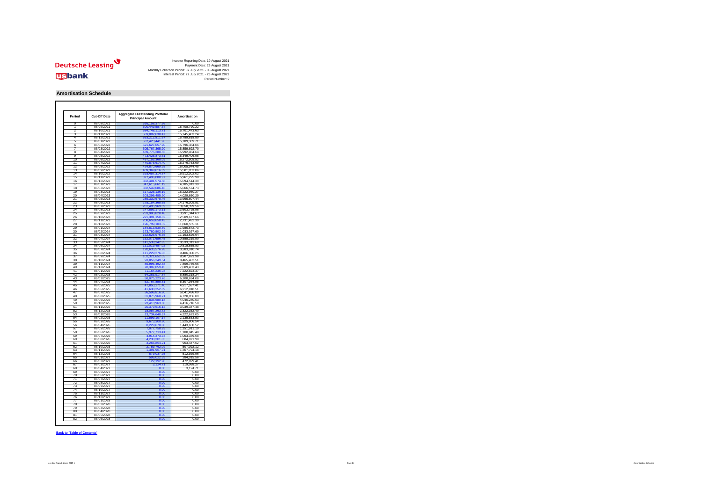

| <b>Period</b><br><b>Cut-Off Date</b> |            | <b>Aggregate Outstanding Portfolio</b><br><b>Principal Amount</b> | Amortisation  |  |  |
|--------------------------------------|------------|-------------------------------------------------------------------|---------------|--|--|
| $\overline{0}$                       | 06/08/2021 | 616, 158, 377.56                                                  | 0.00          |  |  |
| 1                                    | 06/09/2021 | 600,449,587.34                                                    | 15,708,790.22 |  |  |
| 2                                    | 06/10/2021 | 584,748,113.71                                                    | 15,701,473.63 |  |  |
| 3                                    | 06/11/2021 | 569,002,630.47                                                    | 15,745,483.24 |  |  |
| 4                                    | 06/12/2021 | 553,212,811.67                                                    | 15,789,818.80 |  |  |
| 5                                    | 06/01/2022 | 537,423,441.96                                                    | 15,789,369.71 |  |  |
| $\overline{6}$                       | 06/02/2022 | 521,627,057.90                                                    | 15,796,384.06 |  |  |
| 7                                    | 06/03/2022 | 505,767,365.20                                                    | 15,859,692.70 |  |  |
| 8                                    | 06/04/2022 | 489,775,280.56                                                    | 15,992,084.64 |  |  |
| ९                                    | 06/05/2022 | 473,425,873.61                                                    | 16,349,406.95 |  |  |
| 10                                   | 06/06/2022 | 457,153,368.09                                                    | 16,272,505.52 |  |  |
|                                      |            |                                                                   |               |  |  |
| 11                                   | 06/07/2022 | 440,876,614.40                                                    | 16,276,753.69 |  |  |
| 12                                   | 06/08/2022 | 424,870,669.95                                                    | 16,005,944.45 |  |  |
| 13                                   | 06/09/2022 | 409,369,616.89                                                    | 15,501,053.06 |  |  |
| 14                                   | 06/10/2022 | 393,457,314.87                                                    | 15,912,302.02 |  |  |
| 15                                   | 06/11/2022 | 377,496,088.97                                                    | 15,961,225.90 |  |  |
| 16                                   | 06/12/2022 | 362,401,574.58                                                    | 15,094,514.39 |  |  |
| 17                                   | 06/01/2023 | 347,615,661.19                                                    | 14,785,913.39 |  |  |
| 18                                   | 06/02/2023 | 332,549,086.46                                                    | 15,066,574.73 |  |  |
| 19                                   | 06/03/2023 | 317,326,136.19                                                    | 15,222,950.27 |  |  |
| 20                                   | 06/04/2023 | 303,296,485.90                                                    | 14,029,650.29 |  |  |
| 21                                   | 06/05/2023 | 289,330,678.46                                                    | 13,965,807.44 |  |  |
|                                      |            |                                                                   |               |  |  |
| 22                                   | 06/06/2023 | 275,154,368.65                                                    | 14,176,309.81 |  |  |
| 23                                   | 06/07/2023 | 261,495,969.09                                                    | 13,658,399.56 |  |  |
| 24                                   | 06/08/2023 | 247,892,173.11                                                    | 13,603,795.98 |  |  |
| 25                                   | 06/09/2023 | 233,900,828.48                                                    | 13,991,344.63 |  |  |
| 26                                   | 06/10/2023 | 221,391,150.82                                                    | 12,509,677.66 |  |  |
| 27                                   | 06/11/2023 | 208,659,658.43                                                    | 12,731,492.39 |  |  |
| 28                                   | 06/12/2023 | 196,799,103.32                                                    | 11,860,555.11 |  |  |
| 29                                   | 06/01/2024 | 184,813,530.59                                                    | 11,985,572.73 |  |  |
| 30                                   | 06/02/2024 | 173,780,502.99                                                    | 11,033,027.60 |  |  |
| 31                                   | 06/03/2024 | 162,626,976.35                                                    | 11,153,526.64 |  |  |
| 32                                   | 06/04/2024 | 152,071,656.45                                                    | 10,555,319.90 |  |  |
|                                      |            |                                                                   |               |  |  |
| 33                                   | 06/05/2024 | 141,538,342.85                                                    | 10,533,313.60 |  |  |
| 34                                   | 06/06/2024 | 131,019,487.02                                                    | 10,518,855.83 |  |  |
| 35                                   | 06/07/2024 | 120,635,576.28                                                    | 10,383,910.74 |  |  |
| 36                                   | 06/08/2024 | 111,229,276.03                                                    | 9,406,300.25  |  |  |
| 37                                   | 06/09/2024 | 102,321,652.05                                                    | 8,907,623.98  |  |  |
| 38                                   | 06/10/2024 | 93,856,249.54                                                     | 8,465,402.51  |  |  |
| 39                                   | 06/11/2024 | 85,996,492.88                                                     | 7,859,756.66  |  |  |
| 40                                   | 06/12/2024 | 78,387,059.45                                                     | 7,609,433.43  |  |  |
| 41                                   | 06/01/2025 | 71,164,236.08                                                     | 7,222,823.37  |  |  |
| 42                                   | 06/02/2025 | 64,283,917.84                                                     | 6,880,318.24  |  |  |
| 43                                   | 06/03/2025 | 58,075,223.76                                                     | 6,208,694.08  |  |  |
|                                      |            |                                                                   |               |  |  |
| 44                                   | 06/04/2025 | 52,767,858.81                                                     | 5,307,364.95  |  |  |
| 45                                   | 06/05/2025 | 47,850,271.40                                                     | 4,917,587.41  |  |  |
| 46                                   | 06/06/2025 | 41,638,252.89                                                     | 6,212,018.51  |  |  |
| 47                                   | 06/07/2025 | 36,596,816.80                                                     | 5,041,436.09  |  |  |
| 48                                   | 06/08/2025 | 31,875,960.71                                                     | 4,720,856.09  |  |  |
| 49                                   | 06/09/2025 | 27,835,680.18                                                     | 4,040,280.53  |  |  |
| 50                                   | 06/10/2025 | 23,418,963.60                                                     | 4,416,716.58  |  |  |
| 51                                   | 06/11/2025 | 20,379,616.12                                                     | 3,039,347.48  |  |  |
| 52                                   | 06/12/2025 | 18,057,263.72                                                     | 2,322,352.40  |  |  |
| 53                                   | 06/01/2026 | 13,734,640.67                                                     | 4,322,623.05  |  |  |
| 54                                   | 06/02/2026 | 11,599,107.14                                                     | 2,135,533.53  |  |  |
| 55                                   |            |                                                                   |               |  |  |
|                                      | 06/03/2026 | 9,673,300.60                                                      | 1,925,806.54  |  |  |
| 56                                   | 06/04/2026 | 8,229,670.08                                                      | 1,443,630.52  |  |  |
| 57                                   | 06/05/2026 | 7,077,758.89                                                      | 1,151,911.19  |  |  |
| 58                                   | 06/06/2026 | 5,977,713.41                                                      | 1,100,045.48  |  |  |
| 59                                   | 06/07/2026 | 4,914,373.73                                                      | 1,063,339.68  |  |  |
| 60                                   | 06/08/2026 | 4,230,301.83                                                      | 684,071.90    |  |  |
| 61                                   | 06/09/2026 | 3,266,854.21                                                      | 963,447.62    |  |  |
| 62                                   | 06/10/2026 | 2,759,762.09                                                      | 507,092.12    |  |  |
| 63                                   | 06/11/2026 | 1,391,967.91                                                      | 1,367,794.18  |  |  |
| 64                                   | 06/12/2026 | 879,037.95                                                        | 512,929.96    |  |  |
|                                      |            |                                                                   |               |  |  |
| 65                                   | 06/01/2027 | 595,022.39                                                        | 284,015.56    |  |  |
| 66                                   | 06/02/2027 | 122,192.98                                                        | 472,829.41    |  |  |
| 67                                   | 06/03/2027 | 3,124.71                                                          | 119,068.27    |  |  |
| 68                                   | 06/04/2027 | 0.00                                                              | 3,124.71      |  |  |
| 69                                   | 06/05/2027 | 0.00                                                              | 0.00          |  |  |
| 70                                   | 06/06/2027 | 0.00                                                              | 0.00          |  |  |
| 71                                   | 06/07/2027 | 0.00                                                              | 0.00          |  |  |
| 72                                   | 06/08/2027 | 0.00                                                              | 0.00          |  |  |
| 73                                   | 06/09/2027 | 0.00                                                              | 0.00          |  |  |
|                                      |            |                                                                   |               |  |  |
| 74                                   | 06/10/2027 | 0.00                                                              | 0.00          |  |  |
| 75                                   | 06/11/2027 | 0.00                                                              | 0.00          |  |  |
| 76                                   | 06/12/2027 | 0.00                                                              | 0.00          |  |  |
| 77                                   | 06/01/2028 | 0.00                                                              | 0.00          |  |  |
| 78                                   | 06/02/2028 | 0.00                                                              | 0.00          |  |  |
| 79                                   | 06/03/2028 | 0.00                                                              | 0.00          |  |  |
| 80                                   | 06/04/2028 | 0.00                                                              | 0.00          |  |  |
|                                      |            |                                                                   |               |  |  |
| 81                                   | 06/05/2028 | 0.00                                                              | 0.00          |  |  |

**Back to 'Table of Contents'**

## **Amortisation Schedule**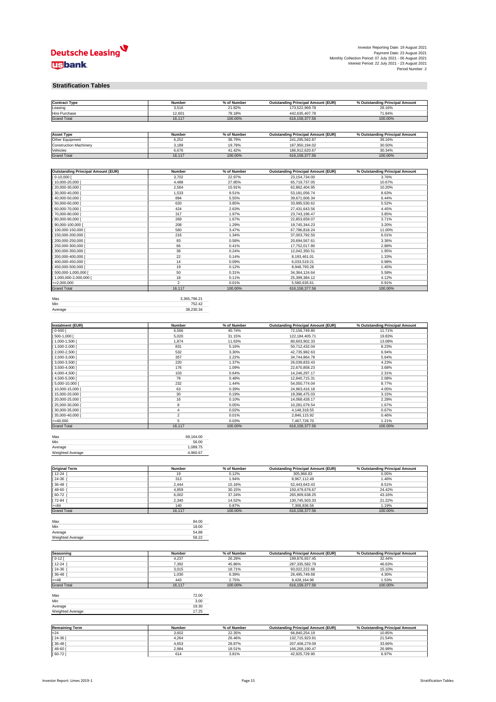

#### **Stratification Tables**

| <b>Contract Type</b> | <b>Number</b> | % of Number | <b>Outstanding Principal Amount (EUR)</b> | % Outstanding Principal Amount |
|----------------------|---------------|-------------|-------------------------------------------|--------------------------------|
| Leasing              | 3,516         | 21.82%      | 173,522,969.78                            | 28.16%                         |
| <b>Hire Purchase</b> | 12,60'        | 78.18%      | 442,635,407.78                            | 71.84%                         |
| <b>Grand Total</b>   | 16,117        | 100.00%     | 616, 158, 377.56                          | 100.00%                        |

| <b>Asset Type</b>             | <b>Number</b> | % of Number | <b>Outstanding Principal Amount (EUR)</b> | % Outstanding Principal Amount |
|-------------------------------|---------------|-------------|-------------------------------------------|--------------------------------|
| <b>Other Equipment</b>        | 6,252         | 38.79%      | 241,295,562.87                            | 39.16%                         |
| <b>Construction Machinery</b> | 3.189         | 19.79%      | 187,950,194.02                            | 30.50%                         |
| Vehicles                      | 6.676         | 41.42%      | 186,912,620.67                            | 30.34%                         |
| <b>Grand Total</b>            | 16,117        | 100.00%     | 616, 158, 377.56                          | 100.00%                        |

| <b>Outstanding Principal Amount (EUR)</b> | <b>Number</b> | % of Number | <b>Outstanding Principal Amount (EUR)</b> | % Outstanding Principal Amount |
|-------------------------------------------|---------------|-------------|-------------------------------------------|--------------------------------|
| [0.10, 000]                               | 3,702         | 22.97%      | 23, 154, 734.00                           | 3.76%                          |
| $[10,000-20,000]$                         | 4,488         | 27.85%      | 65,719,737.05                             | 10.67%                         |
| [20,000-30,000 [                          | 2,564         | 15.91%      | 62,862,404.95                             | 10.20%                         |
| $[30,000-40,000]$                         | 1,533         | 9.51%       | 53, 181, 056. 74                          | 8.63%                          |
| $[40,000-50,000]$                         | 894           | 5.55%       | 39,671,606.34                             | 6.44%                          |
| $[50,000-60,000]$                         | 620           | 3.85%       | 33,995,530.62                             | 5.52%                          |
| $[60,000-70,000]$                         | 424           | 2.63%       | 27,431,643.56                             | 4.45%                          |
| [70,000-80,000 [                          | 317           | 1.97%       | 23,743,196.47                             | 3.85%                          |
| [ 80,000-90,000 [                         | 269           | 1.67%       | 22,853,659.07                             | 3.71%                          |
| [ 90,000-100,000 [                        | 208           | 1.29%       | 19,745,344.23                             | 3.20%                          |
| [100,000-150,000 [                        | 560           | 3.47%       | 67,786,818.24                             | 11.00%                         |
| [150,000-200,000 [                        | 216           | 1.34%       | 37,003,792.50                             | 6.01%                          |
| [200,000-250,000 [                        | 93            | 0.58%       | 20,694,567.61                             | 3.36%                          |
| [250,000-300,000 [                        | 66            | 0.41%       | 17,752,017.80                             | 2.88%                          |
| $[300,000-350,000]$                       | 38            | 0.24%       | 12,042,350.51                             | 1.95%                          |
| [ 350,000-400,000 [                       | 22            | 0.14%       | 8,193,461.01                              | 1.33%                          |
| [400,000-450,000 [                        | 14            | 0.09%       | 6,033,519.21                              | 0.98%                          |
| [450,000-500,000 [                        | 19            | 0.12%       | 8,948,793.28                              | 1.45%                          |
| $[500,000-1,000,000]$                     | 50            | 0.31%       | 34, 364, 124. 64                          | 5.58%                          |
| $[1,000,000-2,000,000]$                   | 18            | 0.11%       | 25,399,384.12                             | 4.12%                          |
| $\ge$ =2,000,000                          | 2             | 0.01%       | 5,580,635.61                              | 0.91%                          |
| <b>Grand Total</b>                        | 16,117        | 100.00%     | 616, 158, 377.56                          | 100.00%                        |

| Max     | 3,365,796.21 |
|---------|--------------|
| Min     | 752.42       |
| Average | 38,230.34    |

| Instalment (EUR)   | <b>Number</b> | % of Number | <b>Outstanding Principal Amount (EUR)</b> | % Outstanding Principal Amount |
|--------------------|---------------|-------------|-------------------------------------------|--------------------------------|
| $] 0 - 500 [$      | 6,566         | 40.74%      | 72,156,749.80                             | 11.71%                         |
| $[500-1,000]$      | 5,020         | 31.15%      | 122,184,405.71                            | 19.83%                         |
| $[1,000-1,500]$    | 1,874         | 11.63%      | 80,603,902.33                             | 13.08%                         |
| 1,500-2,000 [      | 831           | 5.16%       | 50,712,432.04                             | 8.23%                          |
| $[2,000-2,500]$    | 532           | 3.30%       | 42,735,982.63                             | 6.94%                          |
| $[2,500-3,000]$    | 357           | 2.22%       | 34,744,864.78                             | 5.64%                          |
| $[3,000-3,500]$    | 220           | 1.37%       | 26,039,833.43                             | 4.23%                          |
| $[3,500-4,000]$    | 176           | 1.09%       | 22,670,858.23                             | 3.68%                          |
| $[4,000-4,500]$    | 103           | 0.64%       | 14,246,297.17                             | 2.31%                          |
| $[4,500-5,000]$    | 78            | 0.48%       | 12,840,715.31                             | 2.08%                          |
| $[5,000-10,000]$   | 232           | 1.44%       | 54,050,774.04                             | 8.77%                          |
| $[10,000-15,000]$  | 63            | 0.39%       | 24,963,416.18                             | 4.05%                          |
| $[15,000-20,000]$  | 30            | 0.19%       | 19,396,475.03                             | 3.15%                          |
| $[20,000-25,000]$  | 16            | 0.10%       | 14,068,428.17                             | 2.28%                          |
| $[25,000-30,000]$  | 8             | 0.05%       | 10,281,079.54                             | 1.67%                          |
| $[30,000-35,000]$  | 4             | 0.02%       | 4,148,318.55                              | 0.67%                          |
| $[35,000-40,000]$  | 2             | 0.01%       | 2,846,115.92                              | 0.46%                          |
| $>=$ 40,000        | 5             | 0.03%       | 7,467,728.70                              | 1.21%                          |
| <b>Grand Total</b> | 16,117        | 100.00%     | 616, 158, 377.56                          | 100.00%                        |

| Max                     | 69.164.00 |
|-------------------------|-----------|
| Min                     | 56.00     |
| Average                 | 1,089.75  |
| <b>Weighted Average</b> | 4,960.67  |

| <b>Original Term</b> | <b>Number</b> | % of Number | <b>Outstanding Principal Amount (EUR)</b> | % Outstanding Principal Amount |
|----------------------|---------------|-------------|-------------------------------------------|--------------------------------|
| $[12-24]$            | 19            | 0.12%       | 305,966.83                                | 0.05%                          |
| $[24-36]$            | 313           | 1.94%       | 8,967,112.49                              | 1.46%                          |
| $[36 - 48]$          | 2,444         | 15.16%      | 52,443,643.43                             | 8.51%                          |
| $[48-60]$            | 4,859         | 30.15%      | 150,479,676.67                            | 24.42%                         |
| $[60-72]$            | 6,002         | 37.24%      | 265,909,638.25                            | 43.16%                         |
| $[72-84]$            | 2,340         | 14.52%      | 130,745,503.33                            | 21.22%                         |
| $>= 84$              | 140           | 0.87%       | 7,306,836.56                              | 1.19%                          |
| <b>Grand Total</b>   | 16,117        | 100.00%     | 616, 158, 377.56                          | 100.00%                        |

| Max              | 84.00 |
|------------------|-------|
| Min              | 18.00 |
| Average          | 54.88 |
| Weighted Average | 58.22 |

| Seasoning          | <b>Number</b> | % of Number | <b>Outstanding Principal Amount (EUR)</b> | % Outstanding Principal Amount |
|--------------------|---------------|-------------|-------------------------------------------|--------------------------------|
| $[0 - 12]$         | 4,237         | 26.29%      | 199,876,657.45                            | 32.44%                         |
| $[12-24]$          | 7,392         | 45.86%      | 287,335,582.79                            | 46.63%                         |
| $[24-36]$          | 3,015         | 18.71%      | 93,022,222.68                             | 15.10%                         |
| $[36 - 48]$        | 1,030         | 6.39%       | 26,495,749.68                             | 4.30%                          |
| $>= 48$            | 443           | 2.75%       | 9,428,164.96                              | 1.53%                          |
| <b>Grand Total</b> | 16,117        | 100.00%     | 616, 158, 377.56                          | 100.00%                        |

| Max              | 72.00 |
|------------------|-------|
| Min              | 3.00  |
| Average          | 19.30 |
| Weighted Average | 17.25 |

| <b>Remaining Term</b> | <b>Number</b> | % of Number | <b>Outstanding Principal Amount (EUR)</b> | % Outstanding Principal Amount |
|-----------------------|---------------|-------------|-------------------------------------------|--------------------------------|
| I <sub>24</sub>       | 3,602         | 22.35%      | 66,840,254.19                             | 10.85%                         |
| [24-36]               | 4,264         | 26.46%      | 132,715,923.91                            | 21.54%                         |
| $[36 - 48]$           | 4,653         | 28.87%      | 207,408,279.09                            | 33.66%                         |
| $[48-60]$             | 2,984         | 18.51%      | 166,268,190.47                            | 26.98%                         |
| $[60-72]$             | 614           | 3.81%       | 42,925,729.90                             | 6.97%                          |





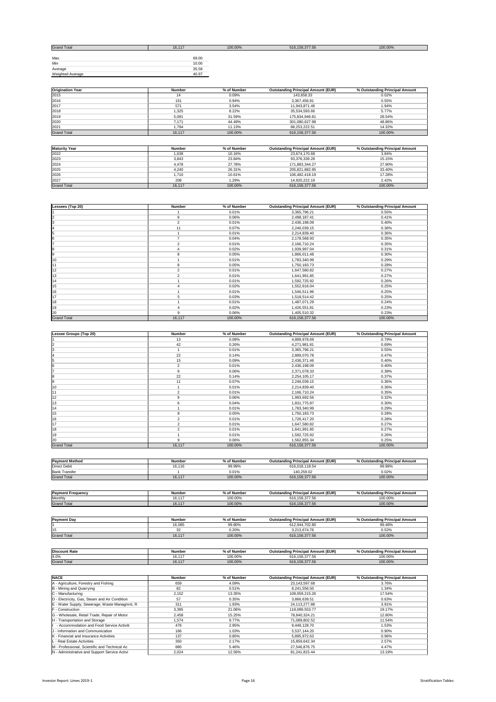| <b>Grand Total</b> | 16,117 | 100.00% | 616, 158, 377.56 | 100.00% |
|--------------------|--------|---------|------------------|---------|
|                    |        |         |                  |         |
| Max                | 69.00  |         |                  |         |
| Min                | 10.00  |         |                  |         |
| Average            | 35.58  |         |                  |         |
| Weighted Average   | 40.97  |         |                  |         |

| <b>Origination Year</b> | <b>Number</b> | % of Number | <b>Outstanding Principal Amount (EUR)</b> | % Outstanding Principal Amount |
|-------------------------|---------------|-------------|-------------------------------------------|--------------------------------|
| 2015                    | 14            | 0.09%       | 143,658.33                                | 0.02%                          |
| 2016                    | 151           | 0.94%       | 3,367,456.81                              | 0.55%                          |
| 2017                    | 571           | 3.54%       | 11,943,871.46                             | 1.94%                          |
| 2018                    | 1,325         | 8.22%       | 35,534,593.66                             | 5.77%                          |
| 2019                    | 5,091         | 31.59%      | 175,834,946.81                            | 28.54%                         |
| 2020                    | 7,171         | 44.49%      | 301,080,627.98                            | 48.86%                         |
| 2021                    | 794. ا        | 11.13%      | 88,253,222.51                             | 14.32%                         |
| <b>Grand Total</b>      | 16,117        | 100.00%     | 616, 158, 377.56                          | 100.00%                        |

| <b>Maturity Year</b> | <b>Number</b> | % of Number | <b>Outstanding Principal Amount (EUR)</b> | % Outstanding Principal Amount |
|----------------------|---------------|-------------|-------------------------------------------|--------------------------------|
| 2022                 | 1,638         | 10.16%      | 23,674,170.68                             | 3.84%                          |
| 2023                 | 3,843         | 23.84%      | 93,376,339.28                             | 15.15%                         |
| 2024                 | 4,478         | 27.78%      | 171,883,344.27                            | 27.90%                         |
| 2025                 | 4,240         | 26.31%      | 205,821,882.95                            | 33.40%                         |
| 2026                 | 1,710         | 10.61%      | 106,482,418.19                            | 17.28%                         |
| 2027                 | 208           | 1.29%       | 14,920,222.19                             | 2.42%                          |
| <b>Grand Total</b>   | 16,117        | 100.00%     | 616, 158, 377.56                          | 100.00%                        |

| Lessees (Top 20)   | <b>Number</b>  | % of Number | <b>Outstanding Principal Amount (EUR)</b> | % Outstanding Principal Amount |
|--------------------|----------------|-------------|-------------------------------------------|--------------------------------|
|                    |                | 0.01%       | 3,365,796.21                              | 0.55%                          |
| $\overline{2}$     | 9              | 0.06%       | 2,498,187.41                              | 0.41%                          |
| 3                  | $\overline{2}$ | 0.01%       | 2,436,198.09                              | 0.40%                          |
| $\overline{4}$     | 11             | 0.07%       | 2,246,039.15                              | 0.36%                          |
| 5                  |                | 0.01%       | 2,214,839.40                              | 0.36%                          |
| 6                  |                | 0.04%       | 2,178,568.93                              | 0.35%                          |
|                    | $\overline{2}$ | 0.01%       | 2,166,710.24                              | 0.35%                          |
| 8                  |                | 0.02%       | 1,939,997.04                              | 0.31%                          |
| 9                  | 8              | 0.05%       | 1,866,011.48                              | 0.30%                          |
| 10                 |                | 0.01%       | 1,783,340.99                              | 0.29%                          |
| 11                 | 8              | 0.05%       | 1,750,183.73                              | 0.28%                          |
| 12                 | $\overline{2}$ | 0.01%       | 1,647,580.82                              | 0.27%                          |
| 13                 | 2              | 0.01%       | 1,641,991.85                              | 0.27%                          |
| 14                 |                | 0.01%       | 1,592,725.92                              | 0.26%                          |
| 15                 |                | 0.02%       | 1,552,616.04                              | 0.25%                          |
| 16                 |                | 0.01%       | 1,546,511.96                              | 0.25%                          |
| 17                 | 5              | 0.03%       | 1,518,514.42                              | 0.25%                          |
| 18                 |                | 0.01%       | 1,487,071.29                              | 0.24%                          |
| 19                 | 4              | 0.02%       | 1,426,551.81                              | 0.23%                          |
| 20                 | 9              | 0.06%       | 1,405,510.32                              | 0.23%                          |
| <b>Grand Total</b> | 16,117         | 100.00%     | 616, 158, 377.56                          | 100.00%                        |

| <b>EUR</b><br>.20)<br><b>Less</b><br><b>Princ.</b><br>Numbe<br>mount<br>---<br>Out⊆<br><b>Numbe</b><br>uno<br>o<br>. 10UNT :<br>'rınc<br>тоаг<br>$\mathbf{v}$<br>me<br>шо<br>ми<br>.<br>- 101 102 |  |  |  |
|---------------------------------------------------------------------------------------------------------------------------------------------------------------------------------------------------|--|--|--|
|                                                                                                                                                                                                   |  |  |  |

|                    | 13             | 0.08%   | 4,889,978.69     | 0.79%   |
|--------------------|----------------|---------|------------------|---------|
|                    | 42             | 0.26%   | 4,271,981.81     | 0.69%   |
|                    |                | 0.01%   | 3,365,796.21     | 0.55%   |
|                    | 22             | 0.14%   | 2,889,070.78     | 0.47%   |
|                    | 15             | 0.09%   | 2,436,371.46     | 0.40%   |
|                    | $\overline{2}$ | 0.01%   | 2,436,198.09     | 0.40%   |
|                    | 9              | 0.06%   | 2,371,078.33     | 0.38%   |
|                    | 22             | 0.14%   | 2,254,105.17     | 0.37%   |
|                    | 11             | 0.07%   | 2,246,039.15     | 0.36%   |
| 10                 |                | 0.01%   | 2,214,839.40     | 0.36%   |
|                    | 2              | 0.01%   | 2,166,710.24     | 0.35%   |
| 12                 | 9              | 0.06%   | 1,993,692.56     | 0.32%   |
| 13                 | 6              | 0.04%   | 1,831,775.87     | 0.30%   |
| 14                 |                | 0.01%   | 1,783,340.99     | 0.29%   |
| 15                 | 8              | 0.05%   | 1,750,183.73     | 0.28%   |
| 16                 | 2              | 0.01%   | 1,726,417.20     | 0.28%   |
| 17                 | $\overline{2}$ | 0.01%   | 1,647,580.82     | 0.27%   |
| 18                 | 2              | 0.01%   | 1,641,991.85     | 0.27%   |
| 19                 |                | 0.01%   | 1,592,725.92     | 0.26%   |
| 20                 | 9              | 0.06%   | 1,562,855.34     | 0.25%   |
| <b>Grand Total</b> | 16,117         | 100.00% | 616, 158, 377.56 | 100.00% |

| <b>Payment Method</b> | <b>Number</b> | % of Number | <b>Outstanding Principal Amount (EUR)</b> | % Outstanding Principal Amount |
|-----------------------|---------------|-------------|-------------------------------------------|--------------------------------|
| Direct Debit          | 16.116<br>10. | 99.99%      | 616,018,118.54                            | 99.98%                         |
| <b>Bank Transfer</b>  |               | 0.01%       | 40,259.02                                 | $0.02\%$                       |
| <b>Grand Total</b>    | 16,117        | 100.00%     | 616, 158, 377.56                          | 100.00%                        |

| <b>Payment Frequency</b> | <b>Number</b> | of Number<br>וס ו | rincipal Amount (EUR)<br>Outstanding Pri | % Out<br>cipal Amount<br>Princ<br>ına<br>.tstand⊬ |
|--------------------------|---------------|-------------------|------------------------------------------|---------------------------------------------------|
| Monthly                  | .<br>16.1     | 100.00%           | 616, 158, 377.56                         | 100.00%                                           |
| <b>Grand Total</b>       | 16,117        | 100.00%           | 616, 158, 377.56                         | 100.00%                                           |

| <b>Payment Day</b> | <b>Number</b> | % of Number | <b>Outstanding Principal Amount (EUR)</b> | % Outstanding Principal Amount |
|--------------------|---------------|-------------|-------------------------------------------|--------------------------------|
|                    | 16,085        | 99.80%      | 612,944,702.80                            | 99.48%                         |
| 15                 | $\sim$        | $0.20\%$    | 3,213,674.76                              | 0.52%                          |
| <b>Grand Total</b> | 16,1          | 100.00%     | 616, 158, 377.56                          | 100.00%                        |

| Discount Rate      | <b>Number</b>             | 6 of Number | <b>Outstanding Principal Amount (EUR)</b> | % Outstanding Principal Amount |
|--------------------|---------------------------|-------------|-------------------------------------------|--------------------------------|
| 4.0%               | $\overline{A}$<br>16. .   | 100.00%     | 616, 158, 377.56                          | 100.00%                        |
| <b>Grand Total</b> | $\overline{11}$<br>16.111 | 100.00%     | 616, 158, 377.56                          | 100.00%                        |

| <b>NACE</b>                                   | <b>Number</b> | % of Number | <b>Outstanding Principal Amount (EUR)</b> | % Outstanding Principal Amount |
|-----------------------------------------------|---------------|-------------|-------------------------------------------|--------------------------------|
| A - Agriculture, Forestry and Fishing         | 659           | 4.09%       | 23,143,597.68                             | 3.76%                          |
| B - Mining and Quarrying                      | 82            | 0.51%       | 8,241,556.50                              | 1.34%                          |
| $ C -$ Manufacturing                          | 2,152         | 13.35%      | 108,059,215.26                            | 17.54%                         |
| D - Electricity, Gas, Steam and Air Condition | 57            | 0.35%       | 3,866,639.51                              | 0.63%                          |
| E - Water Supply; Sewerage, Waste Managmnt, R | 311           | 1.93%       | 24,113,277.88                             | $3.91\%$                       |
| <b>F</b> - Construction                       | 3,395         | 21.06%      | 118,089,553.77                            | 19.17%                         |
| G - Wholesale, Retail Trade, Repair of Motor  | 2,458         | 15.25%      | 78,840,324.21                             | 12.80%                         |
| H - Transportation and Storage                | 1,574         | $9.77\%$    | 71,089,802.52                             | 11.54%                         |
| - Accommodation and Food Service Activiti     | 476           | 2.95%       | 9,448,128.70                              | 1.53%                          |
| J - Information and Communication             | 166           | 1.03%       | 5,537,144.20                              | 0.90%                          |
| <b>K</b> - Financial and Insurance Activities | 137           | 0.85%       | 5,895,972.63                              | 0.96%                          |
| L - Real Estate Activities                    | 350           | 2.17%       | 15,859,642.34                             | 2.57%                          |
| M - Professional, Scientific and Technical Ac | 880           | 5.46%       | 27,546,876.75                             | 4.47%                          |
| N - Administrative and Support Service Activi | 2,024         | 12.56%      | 81,241,815.44                             | 13.19%                         |





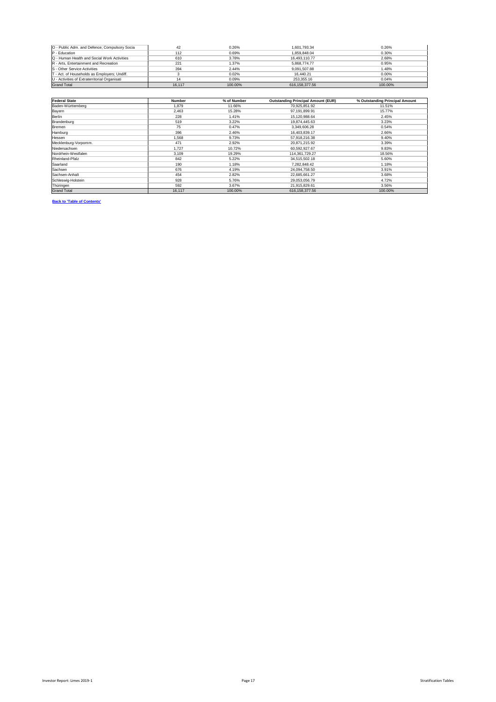| O - Public Adm. and Defence; Compulsory Socia | 42     | 0.26%   | 1,601,793.34     | 0.26%    |
|-----------------------------------------------|--------|---------|------------------|----------|
| $P - Education$                               | 112    | 0.69%   | 1,859,848.04     | 0.30%    |
| Q - Human Health and Social Work Activities   | 610    | 3.78%   | 16,493,110.77    | 2.68%    |
| R - Arts, Entertainment and Recreation        | 221    | 1.37%   | 5,868,774.77     | 0.95%    |
| <b>IS</b> - Other Service Activities          | 394    | 2.44%   | 9,091,507.88     | 1.48%    |
| T - Act. of Households as Employers; Undiff.  |        | 0.02%   | 16,440.21        | $0.00\%$ |
| U - Activities of Extraterritorial Organisati |        | 0.09%   | 253,355.16       | $0.04\%$ |
| <b>Grand Total</b>                            | 16,117 | 100.00% | 616, 158, 377.56 | 100.00%  |

| <b>Federal State</b> | <b>Number</b> | % of Number | <b>Outstanding Principal Amount (EUR)</b> | % Outstanding Principal Amount |
|----------------------|---------------|-------------|-------------------------------------------|--------------------------------|
| Baden-Württemberg    | 1,879         | 11.66%      | 70,925,851.92                             | 11.51%                         |
| <b>Bayern</b>        | 2,463         | 15.28%      | 97,191,899.91                             | 15.77%                         |
| <b>Berlin</b>        | 228           | 1.41%       | 15,120,988.64                             | 2.45%                          |
| Brandenburg          | 519           | 3.22%       | 19,874,445.63                             | 3.23%                          |
| Bremen               | 75            | 0.47%       | 3,349,606.28                              | 0.54%                          |
| Hamburg              | 396           | 2.46%       | 16,403,839.17                             | 2.66%                          |
| Hessen               | 1,568         | 9.73%       | 57,918,216.38                             | 9.40%                          |
| Mecklenburg-Vorpomm. | 471           | 2.92%       | 20,871,215.92                             | 3.39%                          |
| Niedersachsen        | 1,727         | 10.72%      | 60,592,927.67                             | 9.83%                          |
| Nordrhein-Westfalen  | 3,109         | 19.29%      | 114,361,729.27                            | 18.56%                         |
| Rheinland-Pfalz      | 842           | 5.22%       | 34,515,502.18                             | 5.60%                          |
| Saarland             | 190           | 1.18%       | 7,282,848.42                              | 1.18%                          |
| Sachsen              | 676           | 4.19%       | 24,094,758.50                             | 3.91%                          |
| Sachsen-Anhalt       | 454           | 2.82%       | 22,685,661.27                             | 3.68%                          |
| Schleswig-Holstein   | 928           | 5.76%       | 29,053,056.79                             | 4.72%                          |
| Thüringen            | 592           | 3.67%       | 21,915,829.61                             | 3.56%                          |
| <b>Grand Total</b>   | 16,117        | 100.00%     | 616, 158, 377.56                          | 100.00%                        |

**Back to 'Table of Contents'**